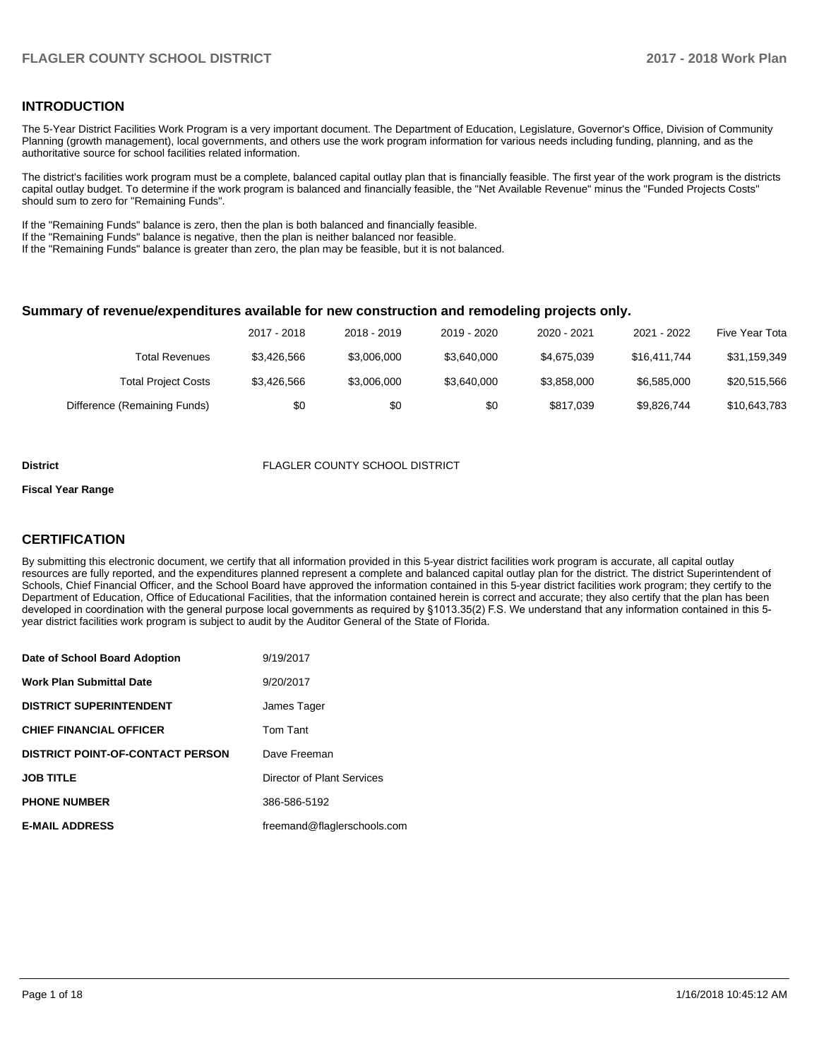### **INTRODUCTION**

The 5-Year District Facilities Work Program is a very important document. The Department of Education, Legislature, Governor's Office, Division of Community Planning (growth management), local governments, and others use the work program information for various needs including funding, planning, and as the authoritative source for school facilities related information.

The district's facilities work program must be a complete, balanced capital outlay plan that is financially feasible. The first year of the work program is the districts capital outlay budget. To determine if the work program is balanced and financially feasible, the "Net Available Revenue" minus the "Funded Projects Costs" should sum to zero for "Remaining Funds".

If the "Remaining Funds" balance is zero, then the plan is both balanced and financially feasible.

If the "Remaining Funds" balance is negative, then the plan is neither balanced nor feasible.

If the "Remaining Funds" balance is greater than zero, the plan may be feasible, but it is not balanced.

### **Summary of revenue/expenditures available for new construction and remodeling projects only.**

|                              | 2017 - 2018 | 2018 - 2019 | 2019 - 2020 | 2020 - 2021 | 2021 - 2022  | Five Year Tota |
|------------------------------|-------------|-------------|-------------|-------------|--------------|----------------|
| Total Revenues               | \$3.426.566 | \$3,006,000 | \$3,640,000 | \$4,675,039 | \$16.411.744 | \$31,159,349   |
| <b>Total Project Costs</b>   | \$3.426.566 | \$3,006,000 | \$3.640.000 | \$3,858,000 | \$6,585,000  | \$20,515,566   |
| Difference (Remaining Funds) | \$0         | \$0         | \$0         | \$817,039   | \$9,826,744  | \$10,643,783   |

#### **District** FLAGLER COUNTY SCHOOL DISTRICT

#### **Fiscal Year Range**

### **CERTIFICATION**

By submitting this electronic document, we certify that all information provided in this 5-year district facilities work program is accurate, all capital outlay resources are fully reported, and the expenditures planned represent a complete and balanced capital outlay plan for the district. The district Superintendent of Schools, Chief Financial Officer, and the School Board have approved the information contained in this 5-year district facilities work program; they certify to the Department of Education, Office of Educational Facilities, that the information contained herein is correct and accurate; they also certify that the plan has been developed in coordination with the general purpose local governments as required by §1013.35(2) F.S. We understand that any information contained in this 5year district facilities work program is subject to audit by the Auditor General of the State of Florida.

| Date of School Board Adoption           | 9/19/2017                   |
|-----------------------------------------|-----------------------------|
| Work Plan Submittal Date                | 9/20/2017                   |
| <b>DISTRICT SUPERINTENDENT</b>          | James Tager                 |
| <b>CHIEF FINANCIAL OFFICER</b>          | Tom Tant                    |
| <b>DISTRICT POINT-OF-CONTACT PERSON</b> | Dave Freeman                |
| JOB TITLE                               | Director of Plant Services  |
| <b>PHONE NUMBER</b>                     | 386-586-5192                |
| <b>E-MAIL ADDRESS</b>                   | freemand@flaglerschools.com |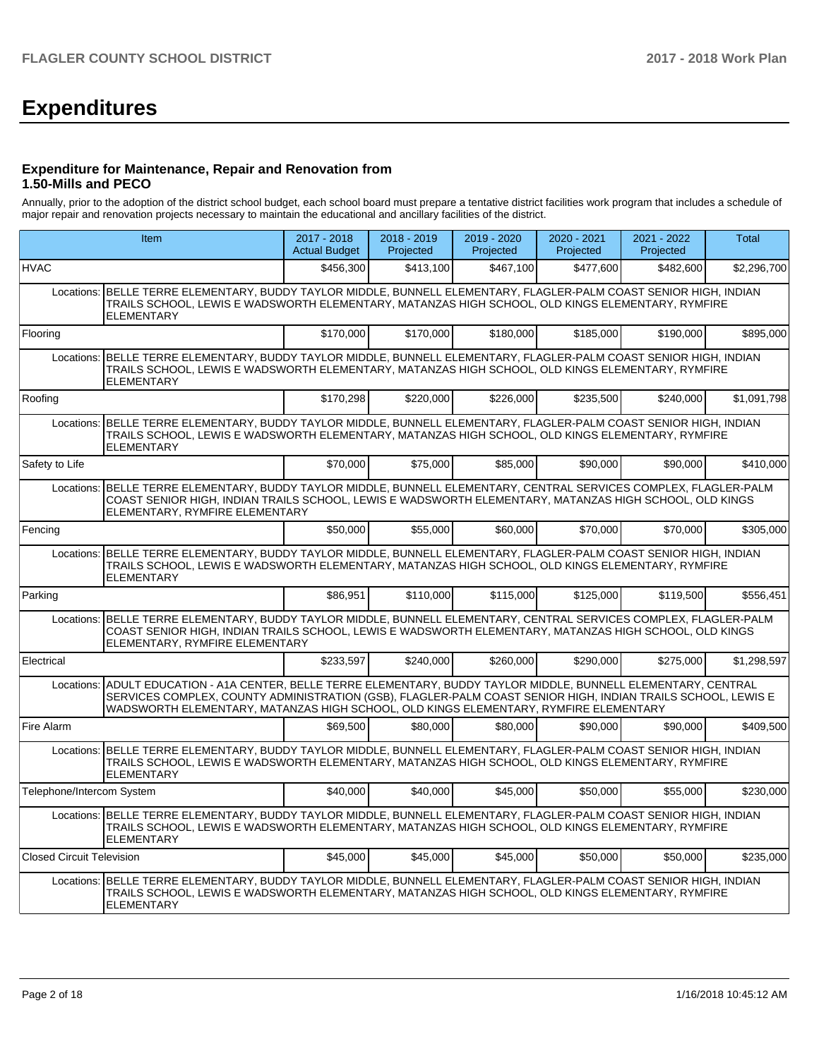# **Expenditures**

### **Expenditure for Maintenance, Repair and Renovation from 1.50-Mills and PECO**

Annually, prior to the adoption of the district school budget, each school board must prepare a tentative district facilities work program that includes a schedule of major repair and renovation projects necessary to maintain the educational and ancillary facilities of the district.

|                                  | <b>Item</b>                                                                                                                                                                                                                                                                                                    | 2017 - 2018<br><b>Actual Budget</b> | $2018 - 2019$<br>Projected | 2019 - 2020<br>Projected | $2020 - 2021$<br>Projected | 2021 - 2022<br>Projected | Total       |  |  |  |
|----------------------------------|----------------------------------------------------------------------------------------------------------------------------------------------------------------------------------------------------------------------------------------------------------------------------------------------------------------|-------------------------------------|----------------------------|--------------------------|----------------------------|--------------------------|-------------|--|--|--|
| <b>HVAC</b>                      |                                                                                                                                                                                                                                                                                                                | \$456,300                           | \$413,100                  | \$467,100                | \$477,600                  | \$482,600                | \$2,296,700 |  |  |  |
| Locations:                       | BELLE TERRE ELEMENTARY, BUDDY TAYLOR MIDDLE, BUNNELL ELEMENTARY, FLAGLER-PALM COAST SENIOR HIGH, INDIAN<br>TRAILS SCHOOL, LEWIS E WADSWORTH ELEMENTARY, MATANZAS HIGH SCHOOL, OLD KINGS ELEMENTARY, RYMFIRE<br>ELEMENTARY                                                                                      |                                     |                            |                          |                            |                          |             |  |  |  |
| Flooring                         |                                                                                                                                                                                                                                                                                                                | \$170,000                           | \$170.000                  | \$180,000                | \$185.000                  | \$190,000                | \$895,000   |  |  |  |
| Locations:                       | BELLE TERRE ELEMENTARY, BUDDY TAYLOR MIDDLE, BUNNELL ELEMENTARY, FLAGLER-PALM COAST SENIOR HIGH, INDIAN<br>TRAILS SCHOOL, LEWIS E WADSWORTH ELEMENTARY, MATANZAS HIGH SCHOOL, OLD KINGS ELEMENTARY, RYMFIRE<br><b>ELEMENTARY</b>                                                                               |                                     |                            |                          |                            |                          |             |  |  |  |
| Roofing                          |                                                                                                                                                                                                                                                                                                                | \$170,298                           | \$220,000                  | \$226,000                | \$235,500                  | \$240,000                | \$1,091,798 |  |  |  |
| Locations:                       | BELLE TERRE ELEMENTARY, BUDDY TAYLOR MIDDLE, BUNNELL ELEMENTARY, FLAGLER-PALM COAST SENIOR HIGH, INDIAN<br>TRAILS SCHOOL, LEWIS E WADSWORTH ELEMENTARY, MATANZAS HIGH SCHOOL, OLD KINGS ELEMENTARY, RYMFIRE<br><b>ELEMENTARY</b>                                                                               |                                     |                            |                          |                            |                          |             |  |  |  |
| Safety to Life                   |                                                                                                                                                                                                                                                                                                                | \$70,000                            | \$75,000                   | \$85,000                 | \$90,000                   | \$90,000                 | \$410,000   |  |  |  |
|                                  | Locations: BELLE TERRE ELEMENTARY, BUDDY TAYLOR MIDDLE, BUNNELL ELEMENTARY, CENTRAL SERVICES COMPLEX, FLAGLER-PALM<br>COAST SENIOR HIGH, INDIAN TRAILS SCHOOL, LEWIS E WADSWORTH ELEMENTARY, MATANZAS HIGH SCHOOL, OLD KINGS<br>ELEMENTARY, RYMFIRE ELEMENTARY                                                 |                                     |                            |                          |                            |                          |             |  |  |  |
| Fencing                          |                                                                                                                                                                                                                                                                                                                | \$50,000                            | \$55.000                   | \$60,000                 | \$70.000                   | \$70,000                 | \$305,000   |  |  |  |
|                                  | Locations: BELLE TERRE ELEMENTARY, BUDDY TAYLOR MIDDLE, BUNNELL ELEMENTARY, FLAGLER-PALM COAST SENIOR HIGH, INDIAN<br>TRAILS SCHOOL, LEWIS E WADSWORTH ELEMENTARY, MATANZAS HIGH SCHOOL, OLD KINGS ELEMENTARY, RYMFIRE<br><b>ELEMENTARY</b>                                                                    |                                     |                            |                          |                            |                          |             |  |  |  |
| Parking                          |                                                                                                                                                                                                                                                                                                                | \$86,951                            | \$110,000                  | \$115,000                | \$125,000                  | \$119,500                | \$556,451   |  |  |  |
|                                  | Locations: BELLE TERRE ELEMENTARY, BUDDY TAYLOR MIDDLE, BUNNELL ELEMENTARY, CENTRAL SERVICES COMPLEX, FLAGLER-PALM<br>COAST SENIOR HIGH, INDIAN TRAILS SCHOOL, LEWIS E WADSWORTH ELEMENTARY, MATANZAS HIGH SCHOOL, OLD KINGS<br>ELEMENTARY, RYMFIRE ELEMENTARY                                                 |                                     |                            |                          |                            |                          |             |  |  |  |
| Electrical                       |                                                                                                                                                                                                                                                                                                                | \$233.597                           | \$240.000                  | \$260,000                | \$290.000                  | \$275.000                | \$1.298.597 |  |  |  |
| Locations:                       | ADULT EDUCATION - A1A CENTER, BELLE TERRE ELEMENTARY, BUDDY TAYLOR MIDDLE, BUNNELL ELEMENTARY, CENTRAL<br>SERVICES COMPLEX, COUNTY ADMINISTRATION (GSB), FLAGLER-PALM COAST SENIOR HIGH, INDIAN TRAILS SCHOOL, LEWIS E<br>WADSWORTH ELEMENTARY, MATANZAS HIGH SCHOOL, OLD KINGS ELEMENTARY, RYMFIRE ELEMENTARY |                                     |                            |                          |                            |                          |             |  |  |  |
| Fire Alarm                       |                                                                                                                                                                                                                                                                                                                | \$69,500                            | \$80,000                   | \$80,000                 | \$90,000                   | \$90,000                 | \$409,500   |  |  |  |
|                                  | Locations: BELLE TERRE ELEMENTARY, BUDDY TAYLOR MIDDLE, BUNNELL ELEMENTARY, FLAGLER-PALM COAST SENIOR HIGH, INDIAN<br>TRAILS SCHOOL, LEWIS E WADSWORTH ELEMENTARY, MATANZAS HIGH SCHOOL, OLD KINGS ELEMENTARY, RYMFIRE<br><b>ELEMENTARY</b>                                                                    |                                     |                            |                          |                            |                          |             |  |  |  |
| Telephone/Intercom System        |                                                                                                                                                                                                                                                                                                                | \$40,000                            | \$40,000                   | \$45,000                 | \$50,000                   | \$55,000                 | \$230,000   |  |  |  |
|                                  | Locations: BELLE TERRE ELEMENTARY, BUDDY TAYLOR MIDDLE, BUNNELL ELEMENTARY, FLAGLER-PALM COAST SENIOR HIGH, INDIAN<br>TRAILS SCHOOL, LEWIS E WADSWORTH ELEMENTARY, MATANZAS HIGH SCHOOL, OLD KINGS ELEMENTARY, RYMFIRE<br><b>ELEMENTARY</b>                                                                    |                                     |                            |                          |                            |                          |             |  |  |  |
| <b>Closed Circuit Television</b> |                                                                                                                                                                                                                                                                                                                | \$45,000                            | \$45,000                   | \$45,000                 | \$50,000                   | \$50,000                 | \$235,000   |  |  |  |
|                                  | Locations: BELLE TERRE ELEMENTARY, BUDDY TAYLOR MIDDLE, BUNNELL ELEMENTARY, FLAGLER-PALM COAST SENIOR HIGH, INDIAN<br>TRAILS SCHOOL, LEWIS E WADSWORTH ELEMENTARY, MATANZAS HIGH SCHOOL, OLD KINGS ELEMENTARY, RYMFIRE<br><b>ELEMENTARY</b>                                                                    |                                     |                            |                          |                            |                          |             |  |  |  |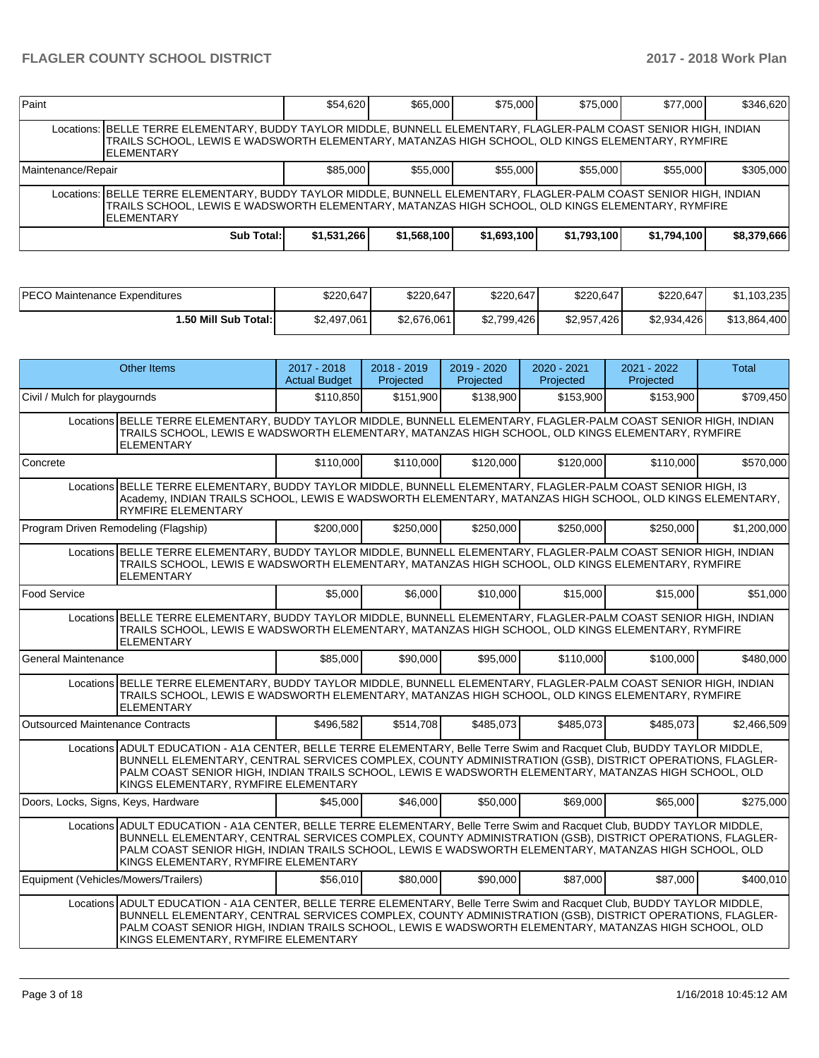| Paint              |                                                                                                                                                                                                                                              | \$54,620    | \$65,000    | \$75,000    | \$75,000    | \$77,000    | \$346,620   |  |  |  |
|--------------------|----------------------------------------------------------------------------------------------------------------------------------------------------------------------------------------------------------------------------------------------|-------------|-------------|-------------|-------------|-------------|-------------|--|--|--|
|                    | Locations: BELLE TERRE ELEMENTARY, BUDDY TAYLOR MIDDLE, BUNNELL ELEMENTARY, FLAGLER-PALM COAST SENIOR HIGH, INDIAN<br>TRAILS SCHOOL, LEWIS E WADSWORTH ELEMENTARY, MATANZAS HIGH SCHOOL, OLD KINGS ELEMENTARY, RYMFIRE<br><b>IELEMENTARY</b> |             |             |             |             |             |             |  |  |  |
| Maintenance/Repair |                                                                                                                                                                                                                                              | \$85,000    | \$55,000    | \$55,000    | \$55,000    | \$55,000    | \$305,000   |  |  |  |
|                    | Locations: BELLE TERRE ELEMENTARY, BUDDY TAYLOR MIDDLE, BUNNELL ELEMENTARY, FLAGLER-PALM COAST SENIOR HIGH, INDIAN<br>TRAILS SCHOOL. LEWIS E WADSWORTH ELEMENTARY. MATANZAS HIGH SCHOOL. OLD KINGS ELEMENTARY. RYMFIRE<br><b>IELEMENTARY</b> |             |             |             |             |             |             |  |  |  |
|                    | Sub Total:                                                                                                                                                                                                                                   | \$1,531,266 | \$1,568,100 | \$1,693,100 | \$1,793,100 | \$1,794,100 | \$8,379,666 |  |  |  |

| <b>PECO Maintenance Expenditures</b> | \$220,647   | \$220.647   | \$220.647   | \$220,647       | \$220,647   | \$1,103,235  |
|--------------------------------------|-------------|-------------|-------------|-----------------|-------------|--------------|
| 50 Mill Sub Total: I                 | \$2,497,061 | \$2.676.061 | \$2,799,426 | \$2,957<br>.426 | \$2,934,426 | \$13.864.400 |

|                                         | <b>Other Items</b>                                                                                                                                                                                                                                                                                                                                                                   | 2017 - 2018<br><b>Actual Budget</b> | 2018 - 2019<br>Projected | 2019 - 2020<br>Projected | 2020 - 2021<br>Projected | 2021 - 2022<br>Projected | Total       |  |  |  |
|-----------------------------------------|--------------------------------------------------------------------------------------------------------------------------------------------------------------------------------------------------------------------------------------------------------------------------------------------------------------------------------------------------------------------------------------|-------------------------------------|--------------------------|--------------------------|--------------------------|--------------------------|-------------|--|--|--|
| Civil / Mulch for playgournds           |                                                                                                                                                                                                                                                                                                                                                                                      | \$110,850                           | \$151,900                | \$138,900                | \$153,900                | \$153,900                | \$709,450   |  |  |  |
|                                         | Locations BELLE TERRE ELEMENTARY, BUDDY TAYLOR MIDDLE, BUNNELL ELEMENTARY, FLAGLER-PALM COAST SENIOR HIGH, INDIAN<br>TRAILS SCHOOL, LEWIS E WADSWORTH ELEMENTARY, MATANZAS HIGH SCHOOL, OLD KINGS ELEMENTARY, RYMFIRE<br><b>ELEMENTARY</b>                                                                                                                                           |                                     |                          |                          |                          |                          |             |  |  |  |
| Concrete                                |                                                                                                                                                                                                                                                                                                                                                                                      | \$110,000                           | \$110,000                | \$120,000                | \$120,000                | \$110,000                | \$570,000   |  |  |  |
|                                         | Locations BELLE TERRE ELEMENTARY, BUDDY TAYLOR MIDDLE, BUNNELL ELEMENTARY, FLAGLER-PALM COAST SENIOR HIGH, 13<br>Academy, INDIAN TRAILS SCHOOL, LEWIS E WADSWORTH ELEMENTARY, MATANZAS HIGH SCHOOL, OLD KINGS ELEMENTARY,<br><b>RYMFIRE ELEMENTARY</b>                                                                                                                               |                                     |                          |                          |                          |                          |             |  |  |  |
| Program Driven Remodeling (Flagship)    |                                                                                                                                                                                                                                                                                                                                                                                      | \$200,000                           | \$250,000                | \$250,000                | \$250,000                | \$250,000                | \$1,200,000 |  |  |  |
|                                         | Locations BELLE TERRE ELEMENTARY, BUDDY TAYLOR MIDDLE, BUNNELL ELEMENTARY, FLAGLER-PALM COAST SENIOR HIGH, INDIAN<br>TRAILS SCHOOL, LEWIS E WADSWORTH ELEMENTARY, MATANZAS HIGH SCHOOL, OLD KINGS ELEMENTARY, RYMFIRE<br><b>ELEMENTARY</b>                                                                                                                                           |                                     |                          |                          |                          |                          |             |  |  |  |
| <b>Food Service</b>                     |                                                                                                                                                                                                                                                                                                                                                                                      | \$5,000                             | \$6,000                  | \$10,000                 | \$15,000                 | \$15,000                 | \$51,000    |  |  |  |
|                                         | Locations BELLE TERRE ELEMENTARY, BUDDY TAYLOR MIDDLE, BUNNELL ELEMENTARY, FLAGLER-PALM COAST SENIOR HIGH, INDIAN<br>TRAILS SCHOOL, LEWIS E WADSWORTH ELEMENTARY, MATANZAS HIGH SCHOOL, OLD KINGS ELEMENTARY, RYMFIRE<br>ELEMENTARY                                                                                                                                                  |                                     |                          |                          |                          |                          |             |  |  |  |
| <b>General Maintenance</b>              |                                                                                                                                                                                                                                                                                                                                                                                      | \$85,000                            | \$90,000                 | \$95,000                 | \$110,000                | \$100,000                | \$480,000   |  |  |  |
|                                         | Locations BELLE TERRE ELEMENTARY, BUDDY TAYLOR MIDDLE, BUNNELL ELEMENTARY, FLAGLER-PALM COAST SENIOR HIGH, INDIAN<br>TRAILS SCHOOL, LEWIS E WADSWORTH ELEMENTARY, MATANZAS HIGH SCHOOL, OLD KINGS ELEMENTARY, RYMFIRE<br><b>ELEMENTARY</b>                                                                                                                                           |                                     |                          |                          |                          |                          |             |  |  |  |
| <b>Outsourced Maintenance Contracts</b> |                                                                                                                                                                                                                                                                                                                                                                                      | \$496,582                           | \$514,708                | \$485,073                | \$485.073                | \$485.073                | \$2,466,509 |  |  |  |
|                                         | Locations ADULT EDUCATION - A1A CENTER, BELLE TERRE ELEMENTARY, Belle Terre Swim and Racquet Club, BUDDY TAYLOR MIDDLE,<br>BUNNELL ELEMENTARY, CENTRAL SERVICES COMPLEX, COUNTY ADMINISTRATION (GSB), DISTRICT OPERATIONS, FLAGLER-<br>PALM COAST SENIOR HIGH, INDIAN TRAILS SCHOOL, LEWIS E WADSWORTH ELEMENTARY, MATANZAS HIGH SCHOOL, OLD<br>KINGS ELEMENTARY, RYMFIRE ELEMENTARY |                                     |                          |                          |                          |                          |             |  |  |  |
| Doors, Locks, Signs, Keys, Hardware     |                                                                                                                                                                                                                                                                                                                                                                                      | \$45,000                            | \$46,000                 | \$50,000                 | \$69,000                 | \$65,000                 | \$275.000   |  |  |  |
|                                         | Locations ADULT EDUCATION - A1A CENTER, BELLE TERRE ELEMENTARY, Belle Terre Swim and Racquet Club, BUDDY TAYLOR MIDDLE,<br>BUNNELL ELEMENTARY, CENTRAL SERVICES COMPLEX, COUNTY ADMINISTRATION (GSB), DISTRICT OPERATIONS, FLAGLER-<br>PALM COAST SENIOR HIGH, INDIAN TRAILS SCHOOL, LEWIS E WADSWORTH ELEMENTARY, MATANZAS HIGH SCHOOL, OLD<br>KINGS ELEMENTARY, RYMFIRE ELEMENTARY |                                     |                          |                          |                          |                          |             |  |  |  |
| Equipment (Vehicles/Mowers/Trailers)    |                                                                                                                                                                                                                                                                                                                                                                                      | \$56,010                            | \$80,000                 | \$90,000                 | \$87,000                 | \$87,000                 | \$400,010   |  |  |  |
|                                         | Locations ADULT EDUCATION - A1A CENTER, BELLE TERRE ELEMENTARY, Belle Terre Swim and Racquet Club, BUDDY TAYLOR MIDDLE,<br>BUNNELL ELEMENTARY, CENTRAL SERVICES COMPLEX, COUNTY ADMINISTRATION (GSB), DISTRICT OPERATIONS, FLAGLER-<br>PALM COAST SENIOR HIGH, INDIAN TRAILS SCHOOL, LEWIS E WADSWORTH ELEMENTARY, MATANZAS HIGH SCHOOL, OLD<br>KINGS ELEMENTARY, RYMFIRE ELEMENTARY |                                     |                          |                          |                          |                          |             |  |  |  |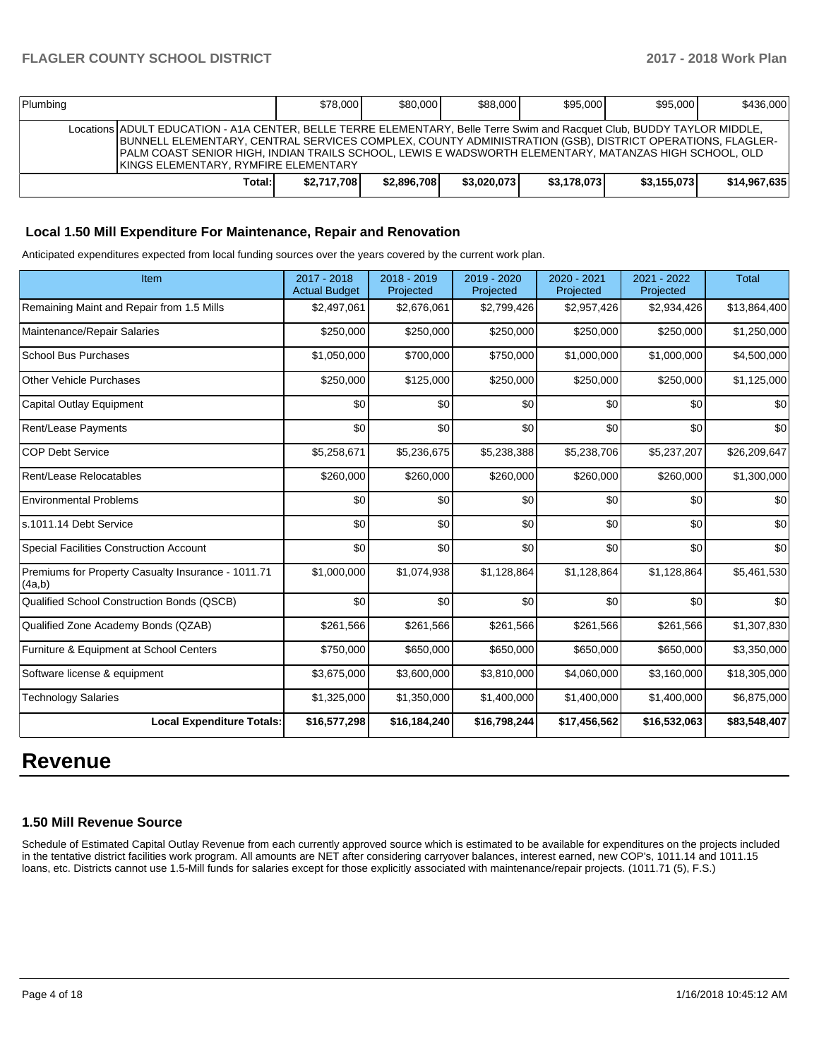| Plumbing                                                                                                                                                                                                                                                                                                                                                                                     | \$78,000    | \$80,000    | \$88,000    | \$95,000    | \$95,000    | \$436,000    |
|----------------------------------------------------------------------------------------------------------------------------------------------------------------------------------------------------------------------------------------------------------------------------------------------------------------------------------------------------------------------------------------------|-------------|-------------|-------------|-------------|-------------|--------------|
| Locations ADULT EDUCATION - A1A CENTER, BELLE TERRE ELEMENTARY, Belle Terre Swim and Racquet Club, BUDDY TAYLOR MIDDLE,<br>BUNNELL ELEMENTARY, CENTRAL SERVICES COMPLEX, COUNTY ADMINISTRATION (GSB), DISTRICT OPERATIONS, FLAGLER-<br>IPALM COAST SENIOR HIGH. INDIAN TRAILS SCHOOL. LEWIS E WADSWORTH ELEMENTARY. MATANZAS HIGH SCHOOL. OLD<br><b>KINGS ELEMENTARY, RYMFIRE ELEMENTARY</b> |             |             |             |             |             |              |
| Total:                                                                                                                                                                                                                                                                                                                                                                                       | \$2,717,708 | \$2,896,708 | \$3.020.073 | \$3,178,073 | \$3,155,073 | \$14,967,635 |

### **Local 1.50 Mill Expenditure For Maintenance, Repair and Renovation**

Anticipated expenditures expected from local funding sources over the years covered by the current work plan.

| Item                                                         | 2017 - 2018<br><b>Actual Budget</b> | 2018 - 2019<br>Projected | 2019 - 2020<br>Projected | 2020 - 2021<br>Projected | 2021 - 2022<br>Projected | <b>Total</b> |
|--------------------------------------------------------------|-------------------------------------|--------------------------|--------------------------|--------------------------|--------------------------|--------------|
| Remaining Maint and Repair from 1.5 Mills                    | \$2,497,061                         | \$2,676,061              | \$2,799,426              | \$2,957,426              | \$2,934,426              | \$13,864,400 |
| Maintenance/Repair Salaries                                  | \$250,000                           | \$250,000                | \$250,000                | \$250,000                | \$250,000                | \$1,250,000  |
| <b>School Bus Purchases</b>                                  | \$1,050,000                         | \$700,000                | \$750,000                | \$1,000,000              | \$1,000,000              | \$4,500,000  |
| <b>Other Vehicle Purchases</b>                               | \$250,000                           | \$125,000                | \$250,000                | \$250,000                | \$250,000                | \$1,125,000  |
| <b>Capital Outlay Equipment</b>                              | \$0                                 | \$0                      | \$0                      | \$0                      | \$0                      | \$0          |
| Rent/Lease Payments                                          | \$0                                 | \$0                      | \$0                      | \$0                      | \$0                      | \$0          |
| <b>COP Debt Service</b>                                      | \$5,258,671                         | \$5,236,675              | \$5,238,388              | \$5,238,706              | \$5,237,207              | \$26,209,647 |
| Rent/Lease Relocatables                                      | \$260,000                           | \$260,000                | \$260,000                | \$260,000                | \$260,000                | \$1,300,000  |
| <b>Environmental Problems</b>                                | \$0                                 | \$0                      | \$0                      | \$0                      | \$0                      | \$0          |
| s.1011.14 Debt Service                                       | \$0                                 | \$0                      | \$0                      | \$0                      | \$0                      | \$0          |
| <b>Special Facilities Construction Account</b>               | \$0                                 | \$0                      | \$0                      | \$0                      | \$0                      | \$0          |
| Premiums for Property Casualty Insurance - 1011.71<br>(4a,b) | \$1,000,000                         | \$1,074,938              | \$1,128,864              | \$1,128,864              | \$1,128,864              | \$5,461,530  |
| Qualified School Construction Bonds (QSCB)                   | \$0                                 | \$0                      | \$0                      | \$0                      | \$0                      | \$0          |
| Qualified Zone Academy Bonds (QZAB)                          | \$261,566                           | \$261,566                | \$261,566                | \$261,566                | \$261,566                | \$1,307,830  |
| Furniture & Equipment at School Centers                      | \$750,000                           | \$650,000                | \$650,000                | \$650,000                | \$650,000                | \$3,350,000  |
| Software license & equipment                                 | \$3,675,000                         | \$3,600,000              | \$3,810,000              | \$4,060,000              | \$3,160,000              | \$18,305,000 |
| <b>Technology Salaries</b>                                   | \$1,325,000                         | \$1,350,000              | \$1,400,000              | \$1,400,000              | \$1,400,000              | \$6,875,000  |
| <b>Local Expenditure Totals:</b>                             | \$16,577,298                        | \$16,184,240             | \$16,798,244             | \$17,456,562             | \$16,532,063             | \$83,548,407 |

# **Revenue**

### **1.50 Mill Revenue Source**

Schedule of Estimated Capital Outlay Revenue from each currently approved source which is estimated to be available for expenditures on the projects included in the tentative district facilities work program. All amounts are NET after considering carryover balances, interest earned, new COP's, 1011.14 and 1011.15 loans, etc. Districts cannot use 1.5-Mill funds for salaries except for those explicitly associated with maintenance/repair projects. (1011.71 (5), F.S.)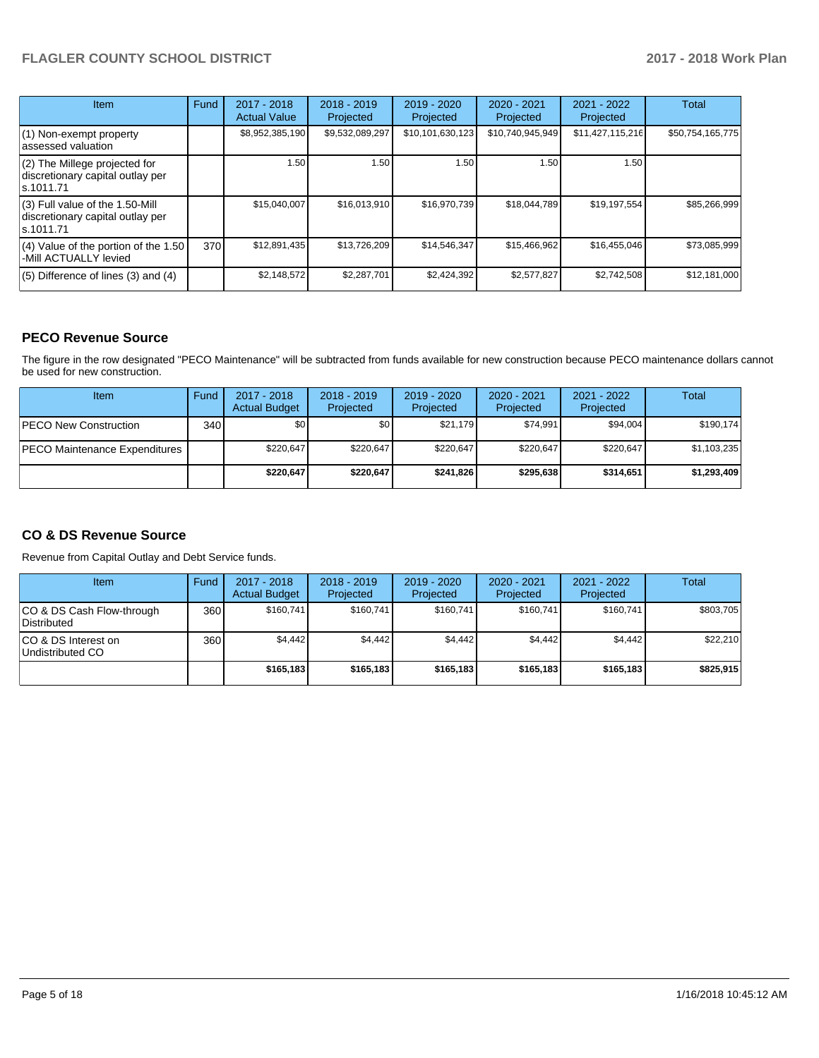| <b>Item</b>                                                                         | Fund | $2017 - 2018$<br><b>Actual Value</b> | $2018 - 2019$<br>Projected | $2019 - 2020$<br>Projected | $2020 - 2021$<br>Projected | $2021 - 2022$<br>Projected | <b>Total</b>     |
|-------------------------------------------------------------------------------------|------|--------------------------------------|----------------------------|----------------------------|----------------------------|----------------------------|------------------|
| (1) Non-exempt property<br>lassessed valuation                                      |      | \$8,952,385,190                      | \$9,532,089,297            | \$10,101,630,123           | \$10,740,945,949           | \$11,427,115,216           | \$50,754,165,775 |
| (2) The Millege projected for<br>discretionary capital outlay per<br>ls.1011.71     |      | 1.50                                 | 1.50                       | 1.50 <sub>1</sub>          | 1.50                       | 1.50                       |                  |
| $(3)$ Full value of the 1.50-Mill<br>discretionary capital outlay per<br>ls.1011.71 |      | \$15,040,007                         | \$16,013,910               | \$16,970,739               | \$18,044,789               | \$19,197,554               | \$85,266,999     |
| (4) Value of the portion of the 1.50<br>-Mill ACTUALLY levied                       | 370  | \$12,891,435                         | \$13,726,209               | \$14,546,347               | \$15,466,962               | \$16,455,046               | \$73,085,999     |
| $(5)$ Difference of lines (3) and (4)                                               |      | \$2,148,572                          | \$2,287,701                | \$2,424,392                | \$2,577,827                | \$2,742,508                | \$12,181,000     |

### **PECO Revenue Source**

The figure in the row designated "PECO Maintenance" will be subtracted from funds available for new construction because PECO maintenance dollars cannot be used for new construction.

| Item                           | Fund | $2017 - 2018$<br><b>Actual Budget</b> | $2018 - 2019$<br>Projected | 2019 - 2020<br>Projected | $2020 - 2021$<br>Projected | $2021 - 2022$<br>Projected | <b>Total</b> |
|--------------------------------|------|---------------------------------------|----------------------------|--------------------------|----------------------------|----------------------------|--------------|
| <b>IPECO New Construction</b>  | 340  | \$0                                   | \$٥١                       | \$21,179                 | \$74,991                   | \$94,004                   | \$190,174    |
| IPECO Maintenance Expenditures |      | \$220.647                             | \$220,647                  | \$220.647                | \$220.647                  | \$220.647                  | \$1,103,235  |
|                                |      | \$220,647                             | \$220.647                  | \$241.826                | \$295.638                  | \$314.651                  | \$1,293,409  |

## **CO & DS Revenue Source**

Revenue from Capital Outlay and Debt Service funds.

| <b>Item</b>                              | Fund | $2017 - 2018$<br><b>Actual Budget</b> | $2018 - 2019$<br>Projected | 2019 - 2020<br>Projected | $2020 - 2021$<br>Projected | $2021 - 2022$<br>Projected | Total     |
|------------------------------------------|------|---------------------------------------|----------------------------|--------------------------|----------------------------|----------------------------|-----------|
| CO & DS Cash Flow-through<br>Distributed | 360  | \$160.741                             | \$160.741                  | \$160.741                | \$160.741                  | \$160.741                  | \$803.705 |
| ICO & DS Interest on<br>Undistributed CO | 360  | \$4.442                               | \$4,442                    | \$4,442                  | \$4,442                    | \$4,442                    | \$22,210  |
|                                          |      | \$165.183                             | \$165,183                  | \$165.183                | \$165,183                  | \$165,183                  | \$825,915 |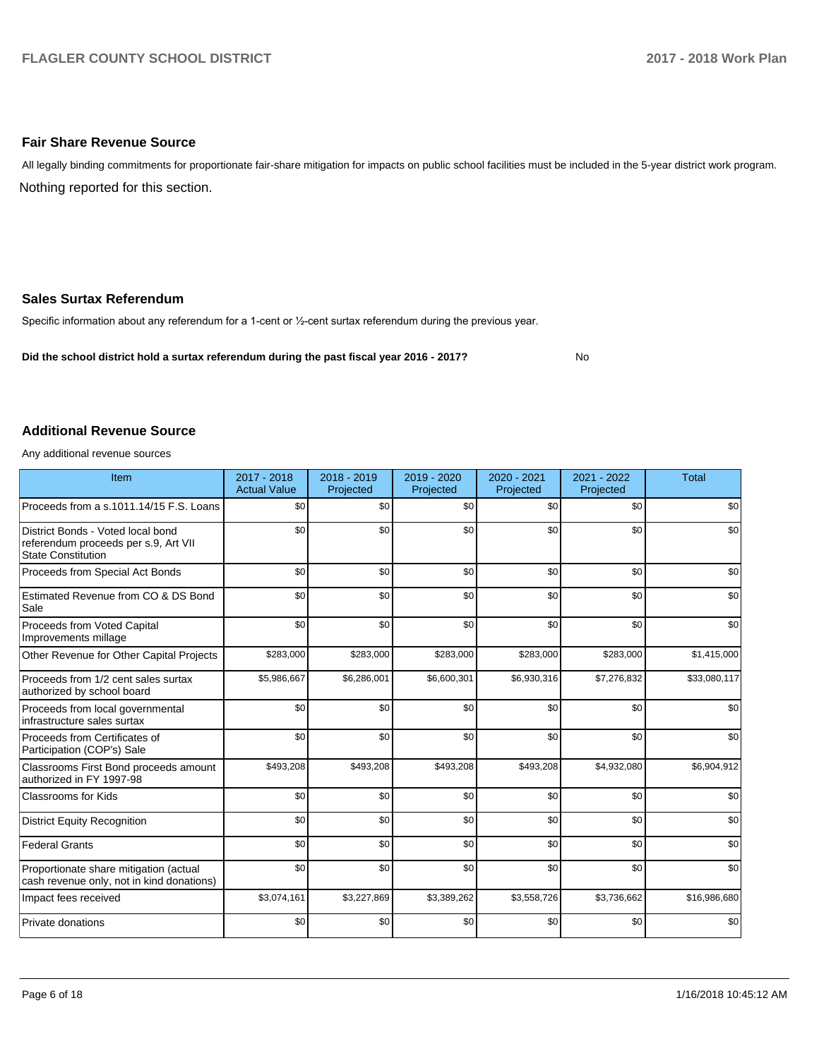### **Fair Share Revenue Source**

Nothing reported for this section. All legally binding commitments for proportionate fair-share mitigation for impacts on public school facilities must be included in the 5-year district work program.

### **Sales Surtax Referendum**

Specific information about any referendum for a 1-cent or 1/2-cent surtax referendum during the previous year.

**Did the school district hold a surtax referendum during the past fiscal year 2016 - 2017?**

No

### **Additional Revenue Source**

Any additional revenue sources

| Item                                                                                                   | 2017 - 2018<br><b>Actual Value</b> | $2018 - 2019$<br>Projected | $2019 - 2020$<br>Projected | 2020 - 2021<br>Projected | 2021 - 2022<br>Projected | <b>Total</b> |
|--------------------------------------------------------------------------------------------------------|------------------------------------|----------------------------|----------------------------|--------------------------|--------------------------|--------------|
| Proceeds from a s.1011.14/15 F.S. Loans                                                                | \$0                                | \$0                        | \$0                        | \$0                      | \$0                      | \$0          |
| District Bonds - Voted local bond<br>referendum proceeds per s.9, Art VII<br><b>State Constitution</b> | \$0                                | \$0                        | \$0                        | \$0                      | \$0                      | \$0          |
| Proceeds from Special Act Bonds                                                                        | \$0                                | \$0                        | \$0                        | \$0                      | \$0                      | \$0          |
| Estimated Revenue from CO & DS Bond<br>Sale                                                            | \$0                                | \$0                        | \$0                        | \$0                      | \$0                      | \$0          |
| Proceeds from Voted Capital<br>Improvements millage                                                    | \$0                                | \$0                        | \$0                        | \$0                      | \$0                      | \$0          |
| Other Revenue for Other Capital Projects                                                               | \$283,000                          | \$283,000                  | \$283,000                  | \$283,000                | \$283,000                | \$1,415,000  |
| Proceeds from 1/2 cent sales surtax<br>authorized by school board                                      | \$5,986,667                        | \$6,286,001                | \$6,600,301                | \$6,930,316              | \$7,276,832              | \$33,080,117 |
| Proceeds from local governmental<br>infrastructure sales surtax                                        | \$0                                | \$0                        | \$0                        | \$0                      | \$0                      | \$0          |
| Proceeds from Certificates of<br>Participation (COP's) Sale                                            | \$0                                | \$0                        | \$0                        | \$0                      | \$0                      | \$0          |
| Classrooms First Bond proceeds amount<br>authorized in FY 1997-98                                      | \$493,208                          | \$493,208                  | \$493,208                  | \$493,208                | \$4,932,080              | \$6,904,912  |
| <b>Classrooms for Kids</b>                                                                             | \$0                                | \$0                        | \$0                        | \$0                      | \$0                      | \$0          |
| <b>District Equity Recognition</b>                                                                     | \$0                                | \$0                        | \$0                        | \$0                      | \$0                      | \$0          |
| <b>Federal Grants</b>                                                                                  | \$0                                | \$0                        | \$0                        | \$0                      | \$0                      | \$0          |
| Proportionate share mitigation (actual<br>cash revenue only, not in kind donations)                    | \$0                                | \$0                        | \$0                        | \$0                      | \$0                      | \$0          |
| Impact fees received                                                                                   | \$3,074,161                        | \$3,227,869                | \$3,389,262                | \$3,558,726              | \$3,736,662              | \$16,986,680 |
| Private donations                                                                                      | \$0                                | \$0                        | \$0                        | \$0                      | \$0                      | \$0          |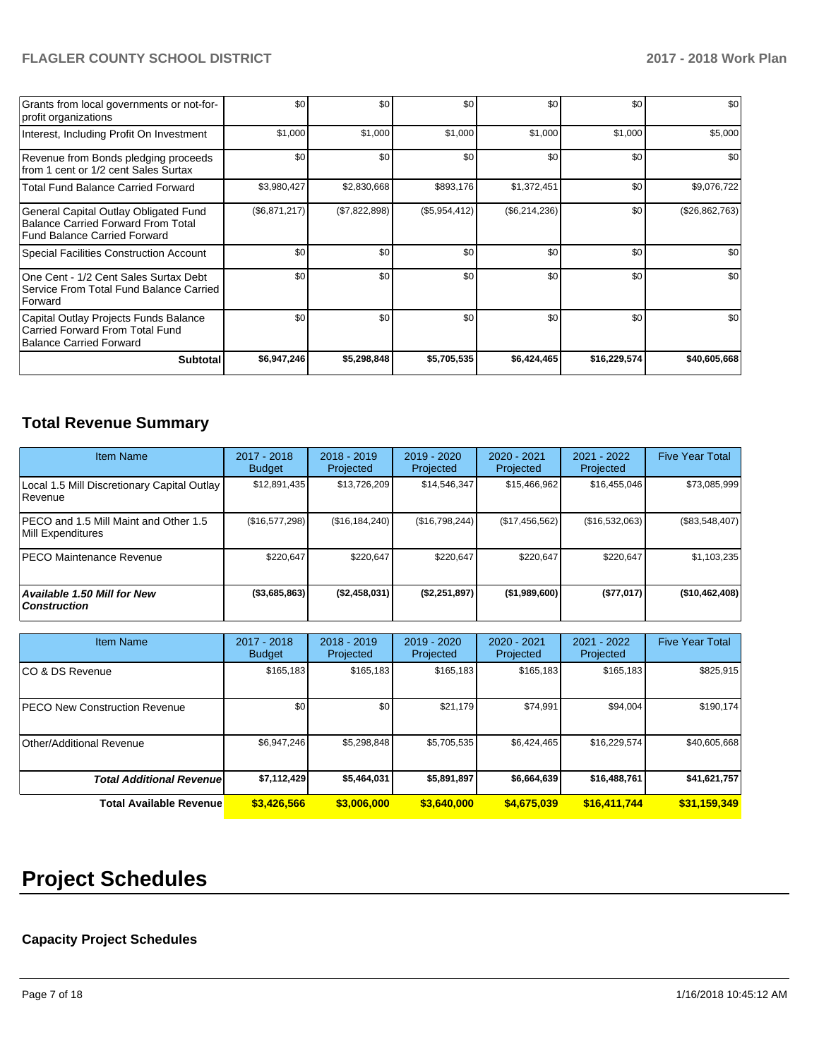| Grants from local governments or not-for-<br>profit organizations                                                         | \$0           | \$0 <sub>1</sub> | \$0           | \$0           | \$0          | \$0            |
|---------------------------------------------------------------------------------------------------------------------------|---------------|------------------|---------------|---------------|--------------|----------------|
| Interest, Including Profit On Investment                                                                                  | \$1,000       | \$1,000          | \$1,000       | \$1,000       | \$1,000      | \$5,000        |
| Revenue from Bonds pledging proceeds<br>from 1 cent or 1/2 cent Sales Surtax                                              | \$0           | \$0 <sub>1</sub> | \$0           | \$0           | \$0          | \$0            |
| <b>Total Fund Balance Carried Forward</b>                                                                                 | \$3,980,427   | \$2,830,668      | \$893,176     | \$1,372,451   | \$0          | \$9,076,722    |
| General Capital Outlay Obligated Fund<br><b>Balance Carried Forward From Total</b><br><b>Fund Balance Carried Forward</b> | (\$6,871,217) | (\$7,822,898)    | (\$5,954,412) | (\$6,214,236) | \$0          | (\$26,862,763) |
| <b>Special Facilities Construction Account</b>                                                                            | \$0           | \$0 <sub>1</sub> | \$0           | \$0           | \$0          | \$0            |
| One Cent - 1/2 Cent Sales Surtax Debt<br>Service From Total Fund Balance Carried<br>Forward                               | \$0           | \$0              | \$0           | \$0           | \$0          | \$0            |
| Capital Outlay Projects Funds Balance<br>Carried Forward From Total Fund<br><b>Balance Carried Forward</b>                | \$0           | \$0 <sub>1</sub> | \$0           | \$0           | \$0          | \$0            |
| <b>Subtotal</b>                                                                                                           | \$6,947,246   | \$5,298,848      | \$5,705,535   | \$6,424,465   | \$16,229,574 | \$40,605,668   |

# **Total Revenue Summary**

| <b>Item Name</b>                                           | 2017 - 2018<br><b>Budget</b> | $2018 - 2019$<br>Projected | 2019 - 2020<br>Projected | 2020 - 2021<br>Projected | 2021 - 2022<br>Projected | <b>Five Year Total</b> |
|------------------------------------------------------------|------------------------------|----------------------------|--------------------------|--------------------------|--------------------------|------------------------|
| Local 1.5 Mill Discretionary Capital Outlay<br>i Revenue   | \$12,891,435                 | \$13,726,209               | \$14,546,347             | \$15,466,962             | \$16,455,046             | \$73,085,999           |
| PECO and 1.5 Mill Maint and Other 1.5<br>Mill Expenditures | (\$16,577,298)               | (\$16, 184, 240)           | (\$16,798,244)           | (\$17,456,562)           | (\$16,532,063)           | (\$83,548,407)         |
| <b>PECO Maintenance Revenue</b>                            | \$220.647                    | \$220,647                  | \$220.647                | \$220.647                | \$220.647                | \$1,103,235            |
| <b>Available 1.50 Mill for New</b><br><b>Construction</b>  | (\$3,685,863)                | (\$2,458,031)              | (\$2,251,897)            | (\$1,989,600)            | (\$77,017)               | (\$10,462,408)         |

| <b>Item Name</b>                      | 2017 - 2018<br><b>Budget</b> | $2018 - 2019$<br>Projected | 2019 - 2020<br>Projected | $2020 - 2021$<br>Projected | 2021 - 2022<br>Projected | <b>Five Year Total</b> |
|---------------------------------------|------------------------------|----------------------------|--------------------------|----------------------------|--------------------------|------------------------|
| ICO & DS Revenue                      | \$165,183                    | \$165,183                  | \$165,183                | \$165,183                  | \$165,183                | \$825,915              |
| <b>IPECO New Construction Revenue</b> | \$0                          | \$0                        | \$21,179                 | \$74,991                   | \$94,004                 | \$190, 174             |
| Other/Additional Revenue              | \$6,947,246                  | \$5,298,848                | \$5,705,535              | \$6,424,465                | \$16,229,574             | \$40,605,668           |
| <b>Total Additional Revenuel</b>      | \$7,112,429                  | \$5,464,031                | \$5,891,897              | \$6,664,639                | \$16,488,761             | \$41,621,757           |
| <b>Total Available Revenue</b>        | \$3,426,566                  | \$3,006,000                | \$3,640,000              | \$4,675,039                | \$16,411,744             | \$31,159,349           |

# **Project Schedules**

# **Capacity Project Schedules**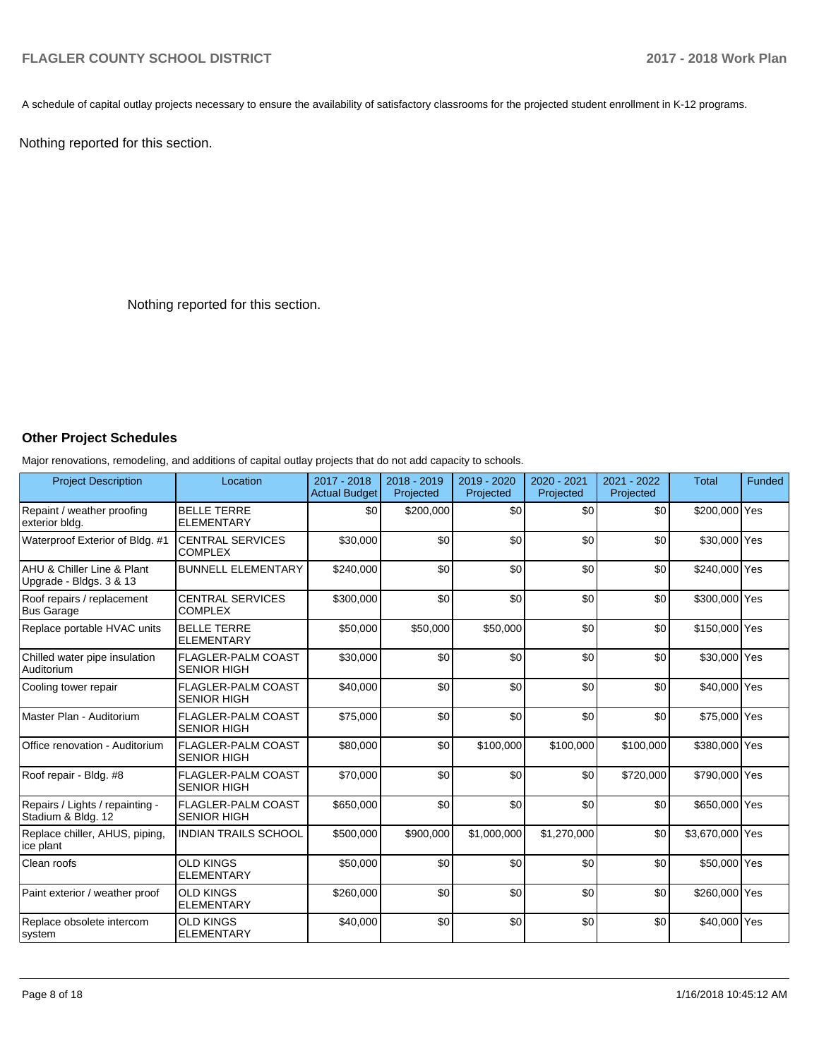A schedule of capital outlay projects necessary to ensure the availability of satisfactory classrooms for the projected student enrollment in K-12 programs.

Nothing reported for this section.

Nothing reported for this section.

### **Other Project Schedules**

Major renovations, remodeling, and additions of capital outlay projects that do not add capacity to schools.

| <b>Project Description</b>                            | Location                                        | 2017 - 2018<br><b>Actual Budget</b> | 2018 - 2019<br>Projected | 2019 - 2020<br>Projected | $2020 - 2021$<br>Projected | $2021 - 2022$<br>Projected | <b>Total</b>    | Funded |
|-------------------------------------------------------|-------------------------------------------------|-------------------------------------|--------------------------|--------------------------|----------------------------|----------------------------|-----------------|--------|
| Repaint / weather proofing<br>exterior bldg.          | <b>BELLE TERRE</b><br><b>ELEMENTARY</b>         | \$0                                 | \$200,000                | \$0                      | \$0                        | \$0                        | \$200,000 Yes   |        |
| Waterproof Exterior of Bldg. #1                       | <b>CENTRAL SERVICES</b><br><b>COMPLEX</b>       | \$30,000                            | \$0                      | \$0                      | \$0                        | \$0                        | \$30,000 Yes    |        |
| AHU & Chiller Line & Plant<br>Upgrade - Bldgs. 3 & 13 | <b>BUNNELL ELEMENTARY</b>                       | \$240,000                           | \$0                      | \$0                      | \$0                        | \$0                        | \$240,000 Yes   |        |
| Roof repairs / replacement<br><b>Bus Garage</b>       | <b>CENTRAL SERVICES</b><br><b>COMPLEX</b>       | \$300,000                           | \$0                      | \$0                      | \$0                        | \$0                        | \$300,000 Yes   |        |
| Replace portable HVAC units                           | <b>BELLE TERRE</b><br><b>ELEMENTARY</b>         | \$50,000                            | \$50,000                 | \$50,000                 | \$0                        | \$0                        | \$150,000 Yes   |        |
| Chilled water pipe insulation<br>Auditorium           | <b>FLAGLER-PALM COAST</b><br><b>SENIOR HIGH</b> | \$30,000                            | \$0                      | \$0                      | \$0                        | \$0                        | \$30,000 Yes    |        |
| Cooling tower repair                                  | <b>FLAGLER-PALM COAST</b><br><b>SENIOR HIGH</b> | \$40,000                            | \$0                      | \$0                      | \$0                        | \$0                        | \$40,000 Yes    |        |
| Master Plan - Auditorium                              | FLAGLER-PALM COAST<br><b>SENIOR HIGH</b>        | \$75,000                            | \$0                      | \$0                      | \$0                        | \$0                        | \$75,000 Yes    |        |
| Office renovation - Auditorium                        | <b>FLAGLER-PALM COAST</b><br><b>SENIOR HIGH</b> | \$80,000                            | \$0                      | \$100,000                | \$100.000                  | \$100,000                  | \$380,000 Yes   |        |
| Roof repair - Bldg. #8                                | <b>FLAGLER-PALM COAST</b><br><b>SENIOR HIGH</b> | \$70,000                            | \$0                      | \$0                      | \$0                        | \$720,000                  | \$790,000 Yes   |        |
| Repairs / Lights / repainting -<br>Stadium & Bldg. 12 | <b>FLAGLER-PALM COAST</b><br><b>SENIOR HIGH</b> | \$650,000                           | \$0                      | \$0                      | \$0                        | \$0                        | \$650,000 Yes   |        |
| Replace chiller, AHUS, piping,<br>ice plant           | <b>INDIAN TRAILS SCHOOL</b>                     | \$500,000                           | \$900,000                | \$1,000,000              | \$1,270,000                | \$0                        | \$3,670,000 Yes |        |
| Clean roofs                                           | <b>OLD KINGS</b><br><b>ELEMENTARY</b>           | \$50,000                            | \$0                      | \$0                      | \$0                        | \$0                        | \$50,000 Yes    |        |
| Paint exterior / weather proof                        | <b>OLD KINGS</b><br><b>ELEMENTARY</b>           | \$260,000                           | \$0                      | \$0                      | \$0                        | \$0                        | \$260,000 Yes   |        |
| Replace obsolete intercom<br>system                   | <b>OLD KINGS</b><br><b>ELEMENTARY</b>           | \$40,000                            | \$0                      | \$0                      | \$0                        | \$0                        | \$40,000 Yes    |        |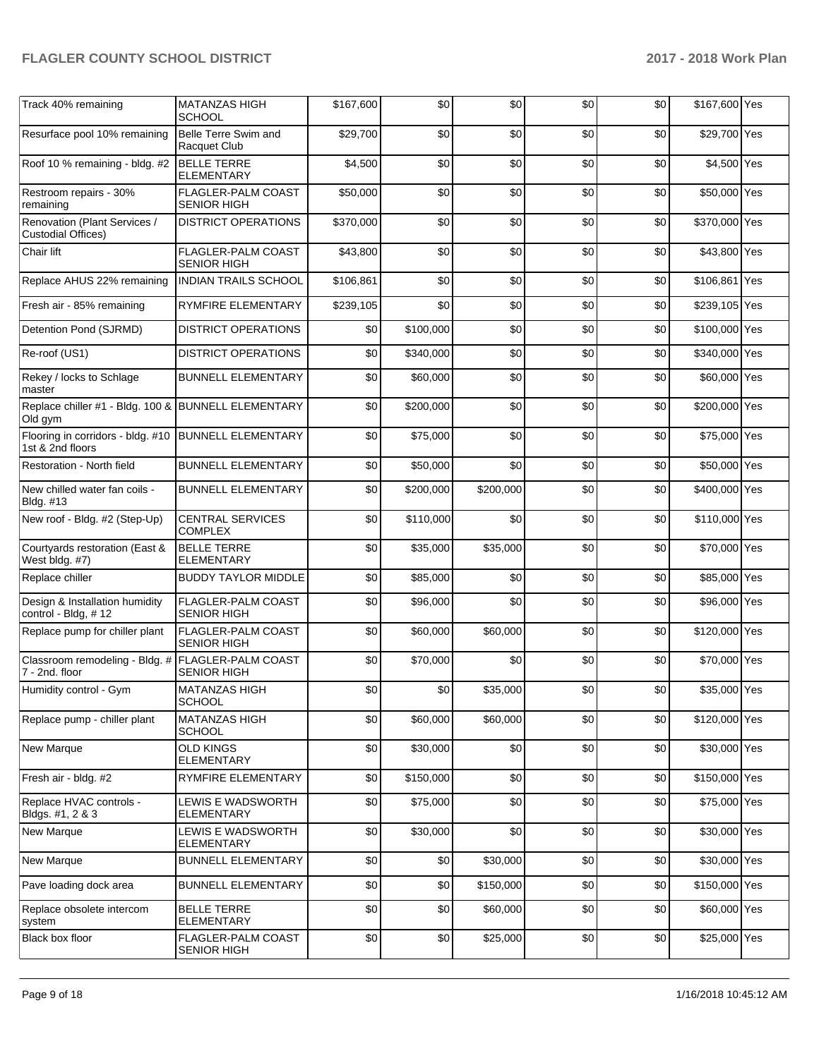| Track 40% remaining                                                 | <b>MATANZAS HIGH</b><br><b>SCHOOL</b>           | \$167,600 | \$0       | \$0       | \$0 | \$0 | \$167,600 Yes |  |
|---------------------------------------------------------------------|-------------------------------------------------|-----------|-----------|-----------|-----|-----|---------------|--|
| Resurface pool 10% remaining                                        | Belle Terre Swim and<br>Racquet Club            | \$29.700  | \$0       | \$0       | \$0 | \$0 | \$29,700 Yes  |  |
| Roof 10 % remaining - bldg. #2                                      | <b>BELLE TERRE</b><br><b>ELEMENTARY</b>         | \$4,500   | \$0       | \$0       | \$0 | \$0 | \$4,500 Yes   |  |
| Restroom repairs - 30%<br>remaining                                 | <b>FLAGLER-PALM COAST</b><br><b>SENIOR HIGH</b> | \$50,000  | \$0       | \$0       | \$0 | \$0 | \$50,000 Yes  |  |
| Renovation (Plant Services /<br><b>Custodial Offices)</b>           | <b>DISTRICT OPERATIONS</b>                      | \$370,000 | \$0       | \$0       | \$0 | \$0 | \$370,000 Yes |  |
| Chair lift                                                          | FLAGLER-PALM COAST<br><b>SENIOR HIGH</b>        | \$43,800  | \$0       | \$0       | \$0 | \$0 | \$43,800 Yes  |  |
| Replace AHUS 22% remaining                                          | <b>INDIAN TRAILS SCHOOL</b>                     | \$106,861 | \$0       | \$0       | \$0 | \$0 | \$106,861 Yes |  |
| Fresh air - 85% remaining                                           | <b>RYMFIRE ELEMENTARY</b>                       | \$239,105 | \$0       | \$0       | \$0 | \$0 | \$239,105 Yes |  |
| Detention Pond (SJRMD)                                              | <b>DISTRICT OPERATIONS</b>                      | \$0       | \$100,000 | \$0       | \$0 | \$0 | \$100,000 Yes |  |
| Re-roof (US1)                                                       | <b>DISTRICT OPERATIONS</b>                      | \$0       | \$340,000 | \$0       | \$0 | \$0 | \$340,000 Yes |  |
| Rekey / locks to Schlage<br>master                                  | <b>BUNNELL ELEMENTARY</b>                       | \$0       | \$60,000  | \$0       | \$0 | \$0 | \$60,000 Yes  |  |
| Replace chiller #1 - Bldg. 100 & BUNNELL ELEMENTARY<br>Old gym      |                                                 | \$0       | \$200,000 | \$0       | \$0 | \$0 | \$200,000 Yes |  |
| Flooring in corridors - bldg. #10<br>1st & 2nd floors               | <b>BUNNELL ELEMENTARY</b>                       | \$0       | \$75,000  | \$0       | \$0 | \$0 | \$75,000 Yes  |  |
| Restoration - North field                                           | <b>BUNNELL ELEMENTARY</b>                       | \$0       | \$50,000  | \$0       | \$0 | \$0 | \$50,000 Yes  |  |
| New chilled water fan coils -<br>Bldg. #13                          | <b>BUNNELL ELEMENTARY</b>                       | \$0       | \$200,000 | \$200,000 | \$0 | \$0 | \$400,000 Yes |  |
| New roof - Bldg. #2 (Step-Up)                                       | <b>CENTRAL SERVICES</b><br><b>COMPLEX</b>       | \$0       | \$110,000 | \$0       | \$0 | \$0 | \$110,000 Yes |  |
| Courtyards restoration (East &<br>West bldg. #7)                    | <b>BELLE TERRE</b><br><b>ELEMENTARY</b>         | \$0       | \$35,000  | \$35,000  | \$0 | \$0 | \$70,000 Yes  |  |
| Replace chiller                                                     | <b>BUDDY TAYLOR MIDDLE</b>                      | \$0       | \$85,000  | \$0       | \$0 | \$0 | \$85,000 Yes  |  |
| Design & Installation humidity<br>control - Bldg, #12               | <b>FLAGLER-PALM COAST</b><br><b>SENIOR HIGH</b> | \$0       | \$96,000  | \$0       | \$0 | \$0 | \$96,000 Yes  |  |
| Replace pump for chiller plant                                      | <b>FLAGLER-PALM COAST</b><br><b>SENIOR HIGH</b> | \$0       | \$60,000  | \$60,000  | \$0 | \$0 | \$120,000 Yes |  |
| Classroom remodeling - Bldg. # FLAGLER-PALM COAST<br>7 - 2nd. floor | <b>SENIOR HIGH</b>                              | \$0       | \$70,000  | \$0       | \$0 | \$0 | \$70,000 Yes  |  |
| Humidity control - Gym                                              | <b>MATANZAS HIGH</b><br>SCHOOL                  | \$0       | \$0       | \$35,000  | \$0 | \$0 | \$35,000 Yes  |  |
| Replace pump - chiller plant                                        | <b>MATANZAS HIGH</b><br><b>SCHOOL</b>           | \$0       | \$60,000  | \$60,000  | \$0 | \$0 | \$120,000 Yes |  |
| New Marque                                                          | <b>OLD KINGS</b><br><b>ELEMENTARY</b>           | \$0       | \$30,000  | \$0       | \$0 | \$0 | \$30,000 Yes  |  |
| Fresh air - bldg. #2                                                | RYMFIRE ELEMENTARY                              | \$0       | \$150,000 | \$0       | \$0 | \$0 | \$150,000 Yes |  |
| Replace HVAC controls -<br>Bldgs. #1, 2 & 3                         | LEWIS E WADSWORTH<br>ELEMENTARY                 | \$0       | \$75,000  | \$0       | \$0 | \$0 | \$75,000 Yes  |  |
| New Marque                                                          | LEWIS E WADSWORTH<br><b>ELEMENTARY</b>          | \$0       | \$30,000  | \$0       | \$0 | \$0 | \$30,000 Yes  |  |
| New Marque                                                          | <b>BUNNELL ELEMENTARY</b>                       | \$0       | \$0       | \$30,000  | \$0 | \$0 | \$30,000 Yes  |  |
| Pave loading dock area                                              | <b>BUNNELL ELEMENTARY</b>                       | \$0       | \$0       | \$150,000 | \$0 | \$0 | \$150,000 Yes |  |
| Replace obsolete intercom<br>system                                 | <b>BELLE TERRE</b><br><b>ELEMENTARY</b>         | \$0       | \$0       | \$60,000  | \$0 | \$0 | \$60,000 Yes  |  |
| Black box floor                                                     | FLAGLER-PALM COAST<br><b>SENIOR HIGH</b>        | \$0       | \$0       | \$25,000  | \$0 | \$0 | \$25,000 Yes  |  |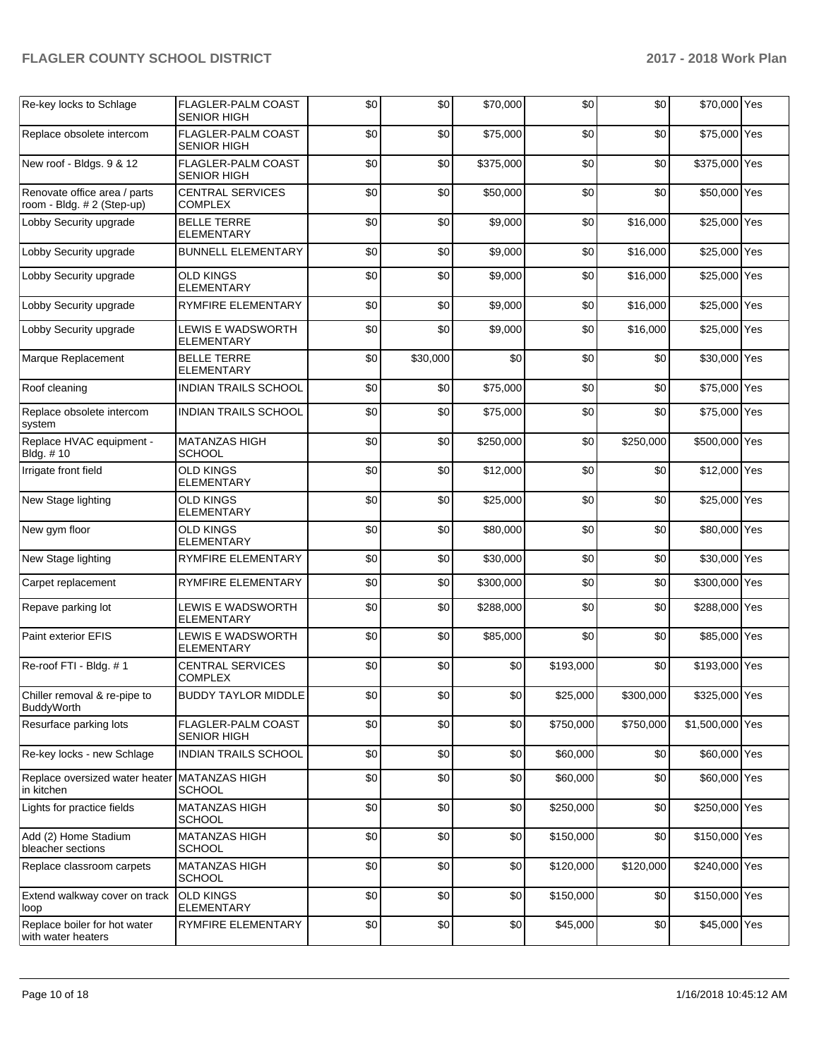| Re-key locks to Schlage                                    | <b>FLAGLER-PALM COAST</b><br><b>SENIOR HIGH</b> | \$0 | \$0      | \$70,000  | \$0       | \$0       | \$70,000 Yes    |  |
|------------------------------------------------------------|-------------------------------------------------|-----|----------|-----------|-----------|-----------|-----------------|--|
| Replace obsolete intercom                                  | FLAGLER-PALM COAST<br><b>SENIOR HIGH</b>        | \$0 | \$0      | \$75,000  | \$0       | \$0       | \$75,000 Yes    |  |
| New roof - Bldgs. 9 & 12                                   | FLAGLER-PALM COAST<br><b>SENIOR HIGH</b>        | \$0 | \$0      | \$375,000 | \$0       | \$0       | \$375,000 Yes   |  |
| Renovate office area / parts<br>room - Bldg. # 2 (Step-up) | <b>CENTRAL SERVICES</b><br>COMPLEX              | \$0 | \$0      | \$50,000  | \$0       | \$0       | \$50,000 Yes    |  |
| Lobby Security upgrade                                     | <b>BELLE TERRE</b><br><b>ELEMENTARY</b>         | \$0 | \$0      | \$9,000   | \$0       | \$16,000  | \$25,000 Yes    |  |
| Lobby Security upgrade                                     | <b>BUNNELL ELEMENTARY</b>                       | \$0 | \$0      | \$9,000   | \$0       | \$16,000  | \$25,000 Yes    |  |
| Lobby Security upgrade                                     | <b>OLD KINGS</b><br><b>ELEMENTARY</b>           | \$0 | \$0      | \$9,000   | \$0       | \$16,000  | \$25,000 Yes    |  |
| Lobby Security upgrade                                     | RYMFIRE ELEMENTARY                              | \$0 | \$0      | \$9,000   | \$0       | \$16,000  | \$25,000 Yes    |  |
| Lobby Security upgrade                                     | LEWIS E WADSWORTH<br><b>ELEMENTARY</b>          | \$0 | \$0      | \$9,000   | \$0       | \$16,000  | \$25,000 Yes    |  |
| Marque Replacement                                         | <b>BELLE TERRE</b><br><b>ELEMENTARY</b>         | \$0 | \$30,000 | \$0       | \$0       | \$0       | \$30,000 Yes    |  |
| Roof cleaning                                              | <b>INDIAN TRAILS SCHOOL</b>                     | \$0 | \$0      | \$75,000  | \$0       | \$0       | \$75,000 Yes    |  |
| Replace obsolete intercom<br>system                        | <b>INDIAN TRAILS SCHOOL</b>                     | \$0 | \$0      | \$75,000  | \$0       | \$0       | \$75,000 Yes    |  |
| Replace HVAC equipment -<br>Bldg. #10                      | <b>MATANZAS HIGH</b><br>SCHOOL                  | \$0 | \$0      | \$250,000 | \$0       | \$250,000 | \$500,000 Yes   |  |
| Irrigate front field                                       | <b>OLD KINGS</b><br><b>ELEMENTARY</b>           | \$0 | \$0      | \$12,000  | \$0       | \$0       | \$12,000 Yes    |  |
| New Stage lighting                                         | <b>OLD KINGS</b><br><b>ELEMENTARY</b>           | \$0 | \$0      | \$25,000  | \$0       | \$0       | \$25,000 Yes    |  |
| New gym floor                                              | <b>OLD KINGS</b><br><b>ELEMENTARY</b>           | \$0 | \$0      | \$80,000  | \$0       | \$0       | \$80,000 Yes    |  |
| New Stage lighting                                         | RYMFIRE ELEMENTARY                              | \$0 | \$0      | \$30,000  | \$0       | \$0       | \$30,000 Yes    |  |
| Carpet replacement                                         | RYMFIRE ELEMENTARY                              | \$0 | \$0      | \$300,000 | \$0       | \$0       | \$300,000 Yes   |  |
| Repave parking lot                                         | LEWIS E WADSWORTH<br><b>ELEMENTARY</b>          | \$0 | \$0      | \$288,000 | \$0       | \$0       | \$288,000 Yes   |  |
| Paint exterior EFIS                                        | LEWIS E WADSWORTH<br>ELEMENTARY                 | \$0 | \$0      | \$85,000  | \$0       | \$0       | \$85,000 Yes    |  |
| Re-roof FTI - Bldg. #1                                     | <b>CENTRAL SERVICES</b><br>COMPLEX              | \$0 | \$0      | \$0       | \$193,000 | \$0       | \$193,000 Yes   |  |
| Chiller removal & re-pipe to<br><b>BuddyWorth</b>          | <b>BUDDY TAYLOR MIDDLE</b>                      | \$0 | \$0      | $\$0$     | \$25,000  | \$300,000 | \$325,000 Yes   |  |
| Resurface parking lots                                     | FLAGLER-PALM COAST<br><b>SENIOR HIGH</b>        | \$0 | \$0      | \$0       | \$750,000 | \$750,000 | \$1,500,000 Yes |  |
| Re-key locks - new Schlage                                 | INDIAN TRAILS SCHOOL                            | \$0 | \$0      | \$0       | \$60,000  | \$0       | \$60,000 Yes    |  |
| Replace oversized water heater<br>in kitchen               | <b>MATANZAS HIGH</b><br><b>SCHOOL</b>           | \$0 | \$0      | \$0       | \$60,000  | \$0       | \$60,000 Yes    |  |
| Lights for practice fields                                 | MATANZAS HIGH<br><b>SCHOOL</b>                  | \$0 | \$0      | \$0       | \$250,000 | \$0       | \$250,000 Yes   |  |
| Add (2) Home Stadium<br>bleacher sections                  | <b>MATANZAS HIGH</b><br>SCHOOL                  | \$0 | \$0      | \$0       | \$150,000 | \$0       | \$150,000 Yes   |  |
| Replace classroom carpets                                  | MATANZAS HIGH<br>SCHOOL                         | \$0 | \$0      | \$0       | \$120,000 | \$120,000 | \$240,000 Yes   |  |
| Extend walkway cover on track<br>loop                      | <b>OLD KINGS</b><br><b>ELEMENTARY</b>           | \$0 | \$0      | \$0       | \$150,000 | \$0       | \$150,000 Yes   |  |
| Replace boiler for hot water<br>with water heaters         | RYMFIRE ELEMENTARY                              | \$0 | \$0      | \$0       | \$45,000  | \$0       | \$45,000 Yes    |  |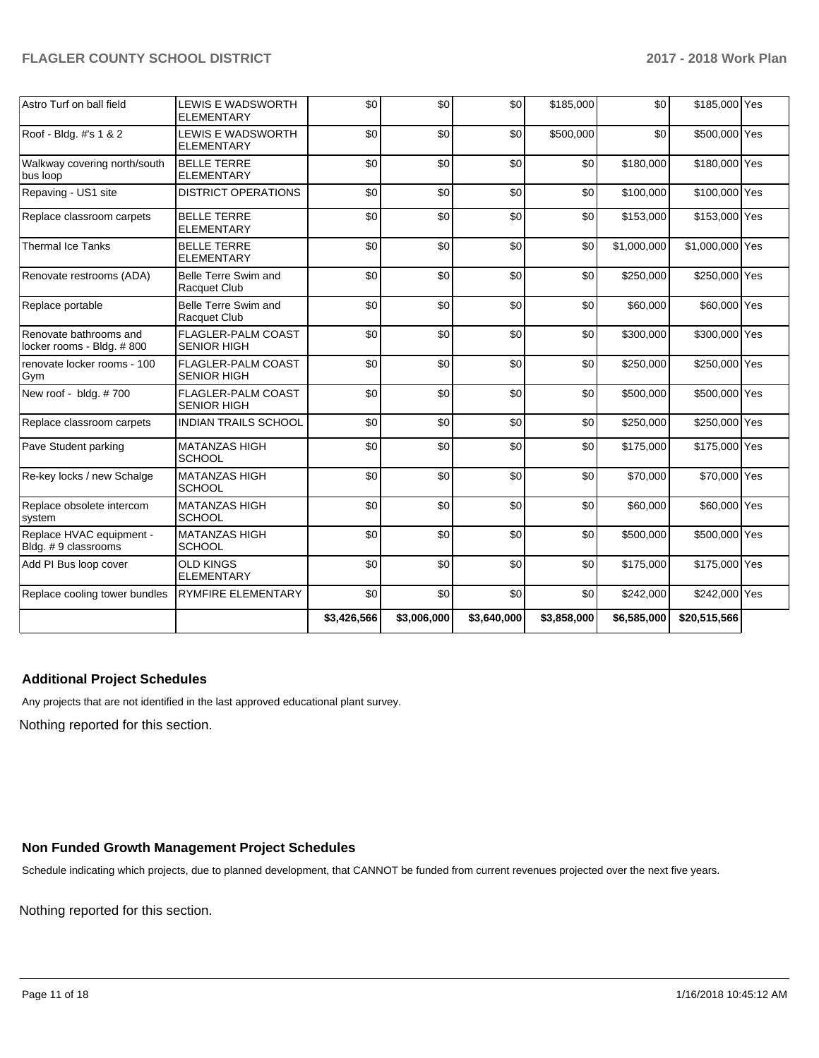| Astro Turf on ball field                            | <b>LEWIS E WADSWORTH</b><br><b>ELEMENTARY</b>   | \$0         | \$0         | \$0         | \$185,000   | \$0         | \$185,000 Yes   |  |
|-----------------------------------------------------|-------------------------------------------------|-------------|-------------|-------------|-------------|-------------|-----------------|--|
| Roof - Bldg. #'s 1 & 2                              | <b>LEWIS E WADSWORTH</b><br><b>ELEMENTARY</b>   | \$0         | \$0         | \$0         | \$500,000   | \$0         | \$500,000 Yes   |  |
| Walkway covering north/south<br>bus loop            | <b>BELLE TERRE</b><br><b>ELEMENTARY</b>         | \$0         | \$0         | \$0         | \$0         | \$180,000   | \$180,000 Yes   |  |
| Repaving - US1 site                                 | <b>DISTRICT OPERATIONS</b>                      | \$0         | \$0         | \$0         | \$0         | \$100,000   | \$100,000 Yes   |  |
| Replace classroom carpets                           | <b>BELLE TERRE</b><br><b>ELEMENTARY</b>         | \$0         | \$0         | \$0         | \$0         | \$153,000   | \$153,000 Yes   |  |
| <b>Thermal Ice Tanks</b>                            | <b>BELLE TERRE</b><br><b>ELEMENTARY</b>         | \$0         | \$0         | \$0         | \$0         | \$1,000,000 | \$1,000,000 Yes |  |
| Renovate restrooms (ADA)                            | Belle Terre Swim and<br>Racquet Club            | \$0         | \$0         | \$0         | \$0         | \$250,000   | \$250,000 Yes   |  |
| Replace portable                                    | Belle Terre Swim and<br>Racquet Club            | \$0         | \$0         | \$0         | \$0         | \$60,000    | \$60,000 Yes    |  |
| Renovate bathrooms and<br>locker rooms - Bldg. #800 | FLAGLER-PALM COAST<br><b>SENIOR HIGH</b>        | \$0         | \$0         | \$0         | \$0         | \$300,000   | \$300,000 Yes   |  |
| renovate locker rooms - 100<br>Gym                  | FLAGLER-PALM COAST<br><b>SENIOR HIGH</b>        | \$0         | \$0         | \$0         | \$0         | \$250,000   | \$250,000 Yes   |  |
| New roof - bldg. #700                               | <b>FLAGLER-PALM COAST</b><br><b>SENIOR HIGH</b> | \$0         | \$0         | \$0         | \$0         | \$500,000   | \$500,000 Yes   |  |
| Replace classroom carpets                           | <b>INDIAN TRAILS SCHOOL</b>                     | \$0         | \$0         | \$0         | \$0         | \$250,000   | \$250,000 Yes   |  |
| Pave Student parking                                | <b>MATANZAS HIGH</b><br><b>SCHOOL</b>           | \$0         | \$0         | \$0         | \$0         | \$175,000   | \$175,000 Yes   |  |
| Re-key locks / new Schalge                          | <b>MATANZAS HIGH</b><br><b>SCHOOL</b>           | \$0         | \$0         | \$0         | \$0         | \$70,000    | \$70,000 Yes    |  |
| Replace obsolete intercom<br>system                 | <b>MATANZAS HIGH</b><br><b>SCHOOL</b>           | \$0         | \$0         | \$0         | \$0         | \$60,000    | \$60,000 Yes    |  |
| Replace HVAC equipment -<br>Bldg. #9 classrooms     | <b>MATANZAS HIGH</b><br><b>SCHOOL</b>           | \$0         | \$0         | \$0         | \$0         | \$500,000   | \$500,000 Yes   |  |
| Add PI Bus loop cover                               | <b>OLD KINGS</b><br><b>ELEMENTARY</b>           | \$0         | \$0         | \$0         | \$0         | \$175,000   | \$175,000 Yes   |  |
| Replace cooling tower bundles                       | <b>RYMFIRE ELEMENTARY</b>                       | \$0         | \$0         | \$0         | \$0         | \$242,000   | \$242,000 Yes   |  |
|                                                     |                                                 | \$3,426,566 | \$3,006,000 | \$3,640,000 | \$3,858,000 | \$6,585,000 | \$20,515,566    |  |

## **Additional Project Schedules**

Any projects that are not identified in the last approved educational plant survey.

Nothing reported for this section.

### **Non Funded Growth Management Project Schedules**

Schedule indicating which projects, due to planned development, that CANNOT be funded from current revenues projected over the next five years.

Nothing reported for this section.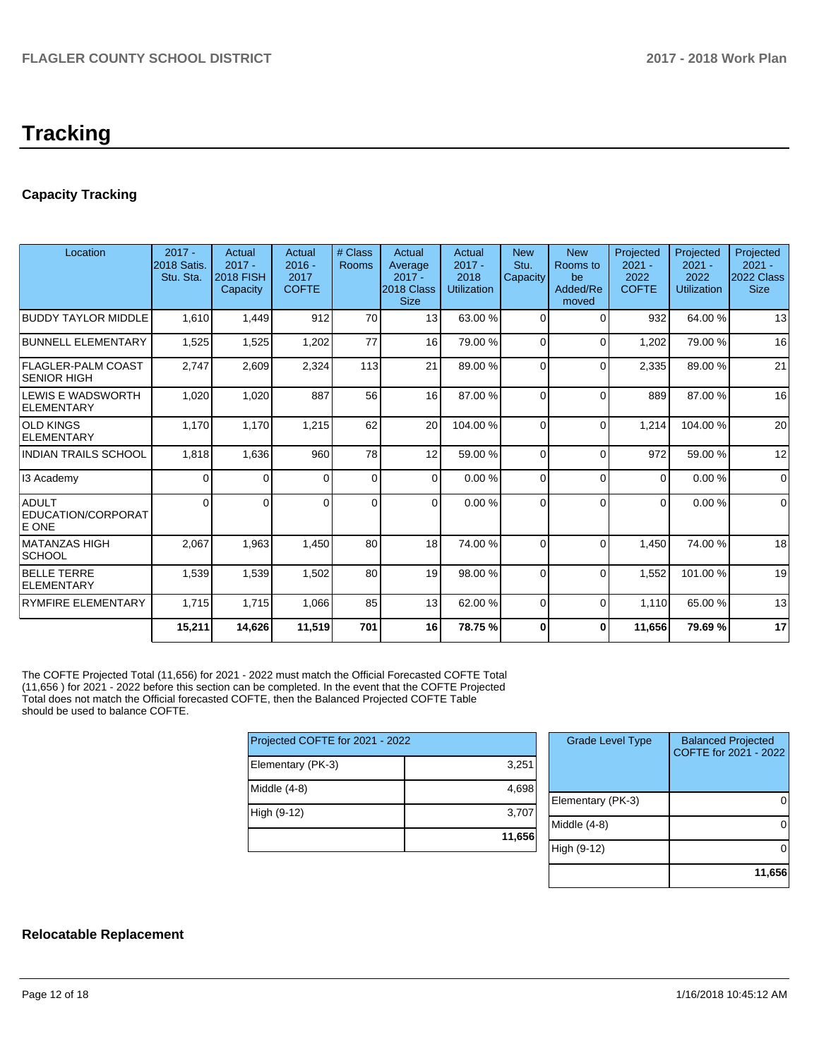# **Tracking**

# **Capacity Tracking**

| Location                                    | $2017 -$<br><b>2018 Satis.</b><br>Stu. Sta. | Actual<br>$2017 -$<br><b>2018 FISH</b><br>Capacity | Actual<br>$2016 -$<br>2017<br><b>COFTE</b> | # Class<br>Rooms | Actual<br>Average<br>$2017 -$<br>2018 Class<br><b>Size</b> | Actual<br>$2017 -$<br>2018<br><b>Utilization</b> | <b>New</b><br>Stu.<br>Capacity | <b>New</b><br>Rooms to<br>be<br>Added/Re<br>moved | Projected<br>$2021 -$<br>2022<br><b>COFTE</b> | Projected<br>$2021 -$<br>2022<br><b>Utilization</b> | Projected<br>$2021 -$<br>2022 Class<br><b>Size</b> |
|---------------------------------------------|---------------------------------------------|----------------------------------------------------|--------------------------------------------|------------------|------------------------------------------------------------|--------------------------------------------------|--------------------------------|---------------------------------------------------|-----------------------------------------------|-----------------------------------------------------|----------------------------------------------------|
| <b>BUDDY TAYLOR MIDDLE</b>                  | 1,610                                       | 1,449                                              | 912                                        | 70               | 13 <sup>1</sup>                                            | 63.00 %                                          | $\Omega$                       | $\Omega$                                          | 932                                           | 64.00%                                              | 13                                                 |
| <b>BUNNELL ELEMENTARY</b>                   | 1,525                                       | 1,525                                              | 1,202                                      | 77               | 16                                                         | 79.00 %                                          | 0                              | $\Omega$                                          | 1,202                                         | 79.00 %                                             | 16                                                 |
| <b>FLAGLER-PALM COAST</b><br>İSENIOR HIGH   | 2,747                                       | 2,609                                              | 2,324                                      | 113              | 21                                                         | 89.00 %                                          | $\Omega$                       | $\Omega$                                          | 2,335                                         | 89.00 %                                             | 21                                                 |
| LEWIS E WADSWORTH<br>ELEMENTARY             | 1,020                                       | 1,020                                              | 887                                        | 56               | 16                                                         | 87.00 %                                          | $\Omega$                       | $\Omega$                                          | 889                                           | 87.00 %                                             | 16                                                 |
| <b>OLD KINGS</b><br>ELEMENTARY              | 1,170                                       | 1,170                                              | 1,215                                      | 62               | 20                                                         | 104.00%                                          | 0                              | $\Omega$                                          | 1,214                                         | 104.00%                                             | 20                                                 |
| INDIAN TRAILS SCHOOL                        | 1,818                                       | 1,636                                              | 960                                        | 78               | 12                                                         | 59.00 %                                          | $\Omega$                       | $\Omega$                                          | 972                                           | 59.00 %                                             | 12                                                 |
| 13 Academy                                  | 0                                           | 0                                                  | 0                                          | $\mathbf 0$      | $\overline{0}$                                             | 0.00%                                            | 0                              | $\Omega$                                          | $\mathbf 0$                                   | 0.00%                                               | 0                                                  |
| <b>ADULT</b><br>EDUCATION/CORPORAT<br>E ONE | $\Omega$                                    | $\Omega$                                           | 0                                          | $\Omega$         | $\Omega$                                                   | 0.00%                                            | $\Omega$                       | $\Omega$                                          | $\Omega$                                      | 0.00%                                               | $\mathbf 0$                                        |
| IMATANZAS HIGH<br> SCHOOL                   | 2,067                                       | 1,963                                              | 1,450                                      | 80               | 18                                                         | 74.00%                                           | 0                              | $\Omega$                                          | 1,450                                         | 74.00%                                              | 18                                                 |
| <b>BELLE TERRE</b><br>ELEMENTARY            | 1,539                                       | 1,539                                              | 1,502                                      | 80               | 19                                                         | 98.00 %                                          | $\Omega$                       | $\Omega$                                          | 1,552                                         | 101.00%                                             | 19                                                 |
| <b>RYMFIRE ELEMENTARY</b>                   | 1,715                                       | 1,715                                              | 1,066                                      | 85               | 13                                                         | 62.00 %                                          | $\Omega$                       | $\Omega$                                          | 1,110                                         | 65.00 %                                             | 13                                                 |
|                                             | 15,211                                      | 14,626                                             | 11,519                                     | 701              | 16                                                         | 78.75%                                           | $\bf{0}$                       | $\bf{0}$                                          | 11,656                                        | 79.69%                                              | 17                                                 |

The COFTE Projected Total (11,656) for 2021 - 2022 must match the Official Forecasted COFTE Total (11,656 ) for 2021 - 2022 before this section can be completed. In the event that the COFTE Projected Total does not match the Official forecasted COFTE, then the Balanced Projected COFTE Table should be used to balance COFTE.

| Projected COFTE for 2021 - 2022 |        |  |  |  |  |  |
|---------------------------------|--------|--|--|--|--|--|
| Elementary (PK-3)               | 3,251  |  |  |  |  |  |
| Middle (4-8)                    | 4,698  |  |  |  |  |  |
| High (9-12)                     | 3,707  |  |  |  |  |  |
|                                 | 11,656 |  |  |  |  |  |

| <b>Grade Level Type</b> | <b>Balanced Projected</b><br>COFTE for 2021 - 2022 |
|-------------------------|----------------------------------------------------|
| Elementary (PK-3)       |                                                    |
| Middle $(4-8)$          |                                                    |
| High (9-12)             |                                                    |
|                         | 11,656                                             |

### **Relocatable Replacement**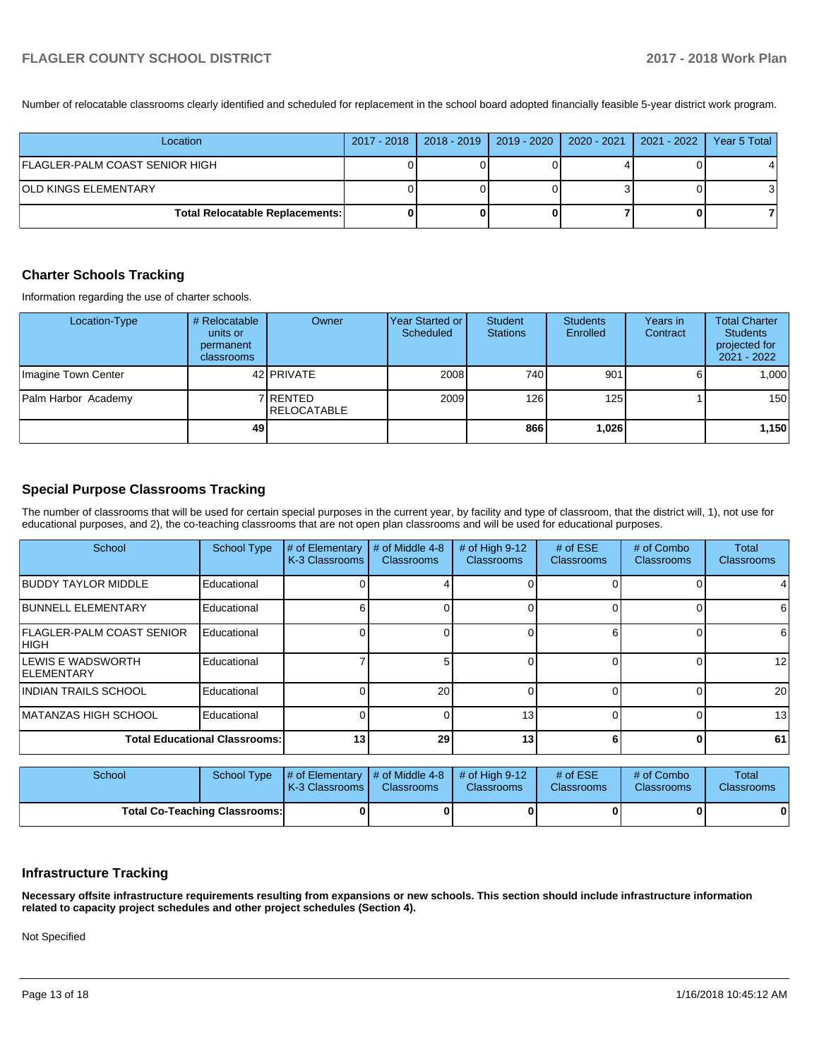Number of relocatable classrooms clearly identified and scheduled for replacement in the school board adopted financially feasible 5-year district work program.

| Location                               | 2017 - 2018   2018 - 2019   2019 - 2020   2020 - 2021   2021 - 2022 |  | Year 5 Total |
|----------------------------------------|---------------------------------------------------------------------|--|--------------|
| FLAGLER-PALM COAST SENIOR HIGH         |                                                                     |  |              |
| <b>OLD KINGS ELEMENTARY</b>            |                                                                     |  |              |
| <b>Total Relocatable Replacements:</b> |                                                                     |  |              |

### **Charter Schools Tracking**

Information regarding the use of charter schools.

| Location-Type       | # Relocatable<br>units or<br>permanent<br><b>classrooms</b> | Owner                          | Year Started or<br>Scheduled | Student<br><b>Stations</b> | <b>Students</b><br>Enrolled | Years in<br>Contract | <b>Total Charter</b><br><b>Students</b><br>projected for<br>2021 - 2022 |
|---------------------|-------------------------------------------------------------|--------------------------------|------------------------------|----------------------------|-----------------------------|----------------------|-------------------------------------------------------------------------|
| Imagine Town Center |                                                             | 42 <b>PRIVATE</b>              | 2008                         | 740                        | 901                         |                      | 1,000                                                                   |
| Palm Harbor Academy |                                                             | 7 RENTED<br><b>RELOCATABLE</b> | 2009                         | 126 <sup>1</sup>           | 125                         |                      | 150                                                                     |
|                     | 49                                                          |                                |                              | 866                        | 1,026                       |                      | 1,150                                                                   |

## **Special Purpose Classrooms Tracking**

The number of classrooms that will be used for certain special purposes in the current year, by facility and type of classroom, that the district will, 1), not use for educational purposes, and 2), the co-teaching classrooms that are not open plan classrooms and will be used for educational purposes.

| School                                          | <b>School Type</b> | # of Elementary<br>K-3 Classrooms | # of Middle 4-8<br><b>Classrooms</b> | # of High 9-12<br><b>Classrooms</b> | # of $ESE$<br><b>Classrooms</b> | # of Combo<br><b>Classrooms</b> | <b>Total</b><br><b>Classrooms</b> |
|-------------------------------------------------|--------------------|-----------------------------------|--------------------------------------|-------------------------------------|---------------------------------|---------------------------------|-----------------------------------|
| <b>BUDDY TAYLOR MIDDLE</b>                      | Educational        |                                   |                                      |                                     |                                 |                                 |                                   |
| <b>BUNNELL ELEMENTARY</b>                       | Educational        |                                   |                                      |                                     |                                 |                                 | 61                                |
| <b>FLAGLER-PALM COAST SENIOR</b><br>IHIGH.      | Educational        |                                   |                                      |                                     |                                 |                                 | 6                                 |
| <b>ILEWIS E WADSWORTH</b><br><b>IELEMENTARY</b> | Educational        |                                   |                                      |                                     |                                 |                                 | 12                                |
| IINDIAN TRAILS SCHOOL                           | Educational        |                                   | 20                                   |                                     |                                 |                                 | 20                                |
| IMATANZAS HIGH SCHOOL                           | Educational        |                                   |                                      | 13                                  |                                 |                                 | 13                                |
| <b>Total Educational Classrooms:</b>            | 13                 | 29                                | 13                                   |                                     |                                 | 61                              |                                   |

| School                               |  | School Type $\left  \frac{1}{2}$ of Elementary $\left  \frac{1}{2}$ of Middle 4-8 $\left  \frac{1}{2}$ of High 9-12<br><b>K-3 Classrooms I</b> | <b>Classrooms</b> | <b>Classrooms</b> | # of $ESE$<br><b>Classrooms</b> | # of Combo<br><b>Classrooms</b> | <b>Total</b><br><b>Classrooms</b> |
|--------------------------------------|--|------------------------------------------------------------------------------------------------------------------------------------------------|-------------------|-------------------|---------------------------------|---------------------------------|-----------------------------------|
| <b>Total Co-Teaching Classrooms:</b> |  |                                                                                                                                                |                   |                   |                                 |                                 | 0                                 |

### **Infrastructure Tracking**

**Necessary offsite infrastructure requirements resulting from expansions or new schools. This section should include infrastructure information related to capacity project schedules and other project schedules (Section 4).** 

Not Specified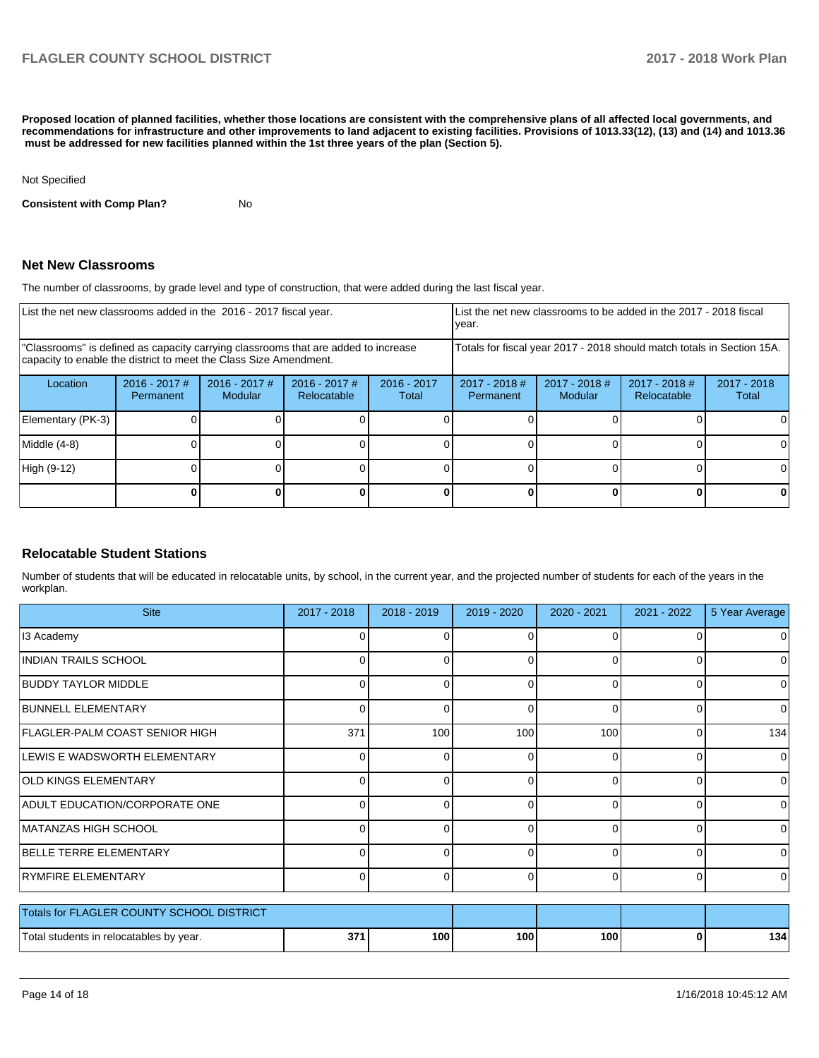**Proposed location of planned facilities, whether those locations are consistent with the comprehensive plans of all affected local governments, and recommendations for infrastructure and other improvements to land adjacent to existing facilities. Provisions of 1013.33(12), (13) and (14) and 1013.36** must be addressed for new facilities planned within the 1st three years of the plan (Section 5).

Not Specified

**Consistent with Comp Plan?** No

### **Net New Classrooms**

The number of classrooms, by grade level and type of construction, that were added during the last fiscal year.

| List the net new classrooms added in the 2016 - 2017 fiscal year.                                                                                       |                              |                            |                                |                      | year.                                                                  |                            | List the net new classrooms to be added in the 2017 - 2018 fiscal |                        |
|---------------------------------------------------------------------------------------------------------------------------------------------------------|------------------------------|----------------------------|--------------------------------|----------------------|------------------------------------------------------------------------|----------------------------|-------------------------------------------------------------------|------------------------|
| "Classrooms" is defined as capacity carrying classrooms that are added to increase<br>capacity to enable the district to meet the Class Size Amendment. |                              |                            |                                |                      | Totals for fiscal year 2017 - 2018 should match totals in Section 15A. |                            |                                                                   |                        |
| Location                                                                                                                                                | $2016 - 2017$ #<br>Permanent | $2016 - 2017$ #<br>Modular | $2016 - 2017$ #<br>Relocatable | 2016 - 2017<br>Total | $2017 - 2018$ #<br>Permanent                                           | $2017 - 2018$ #<br>Modular | $2017 - 2018$ #<br>Relocatable                                    | $2017 - 2018$<br>Total |
| Elementary (PK-3)                                                                                                                                       |                              |                            |                                |                      |                                                                        |                            |                                                                   |                        |
| Middle (4-8)                                                                                                                                            |                              |                            |                                |                      |                                                                        |                            |                                                                   | ΟI                     |
| High (9-12)                                                                                                                                             |                              |                            |                                |                      |                                                                        |                            |                                                                   | ΩI                     |
|                                                                                                                                                         |                              |                            |                                | 0                    |                                                                        |                            | 0                                                                 |                        |

### **Relocatable Student Stations**

Number of students that will be educated in relocatable units, by school, in the current year, and the projected number of students for each of the years in the workplan.

| <b>Site</b>                               | 2017 - 2018 | 2018 - 2019      | 2019 - 2020 | 2020 - 2021 | 2021 - 2022 | 5 Year Average |
|-------------------------------------------|-------------|------------------|-------------|-------------|-------------|----------------|
| 13 Academy                                |             |                  |             |             |             |                |
| <b>INDIAN TRAILS SCHOOL</b>               | $\Omega$    | $\Omega$         | 0           | $\Omega$    | $\Omega$    | 0              |
| <b>BUDDY TAYLOR MIDDLE</b>                | $\Omega$    | $\Omega$         | ŋ           | $\Omega$    | $\Omega$    | 0              |
| <b>BUNNELL ELEMENTARY</b>                 | $\Omega$    | $\Omega$         | $\Omega$    | $\Omega$    | 0           | 0              |
| <b>FLAGLER-PALM COAST SENIOR HIGH</b>     | 371         | 100              | 100         | 100         | 0           | 134            |
| LEWIS E WADSWORTH ELEMENTARY              | 0           | $\Omega$         | ŋ           | $\Omega$    | $\Omega$    | $\Omega$       |
| <b>OLD KINGS ELEMENTARY</b>               | $\Omega$    | $\Omega$         | 0           | $\Omega$    | 0           | 0              |
| ADULT EDUCATION/CORPORATE ONE             | 0           | $\Omega$         | 0           | $\Omega$    | 0           | $\Omega$       |
| MATANZAS HIGH SCHOOL                      | $\Omega$    | $\Omega$         | 0           | 0           | $\Omega$    | 0              |
| <b>BELLE TERRE ELEMENTARY</b>             | 0           | n                | ∩           | $\Omega$    | $\Omega$    | $\Omega$       |
| <b>RYMFIRE ELEMENTARY</b>                 | $\Omega$    | 0                | 0           | $\Omega$    | $\Omega$    | $\Omega$       |
| Totals for FLAGLER COUNTY SCHOOL DISTRICT |             |                  |             |             |             |                |
| Total students in relocatables by year.   | 371         | 100 <sub>l</sub> | 100         | 100         | $\bf{0}$    | 134            |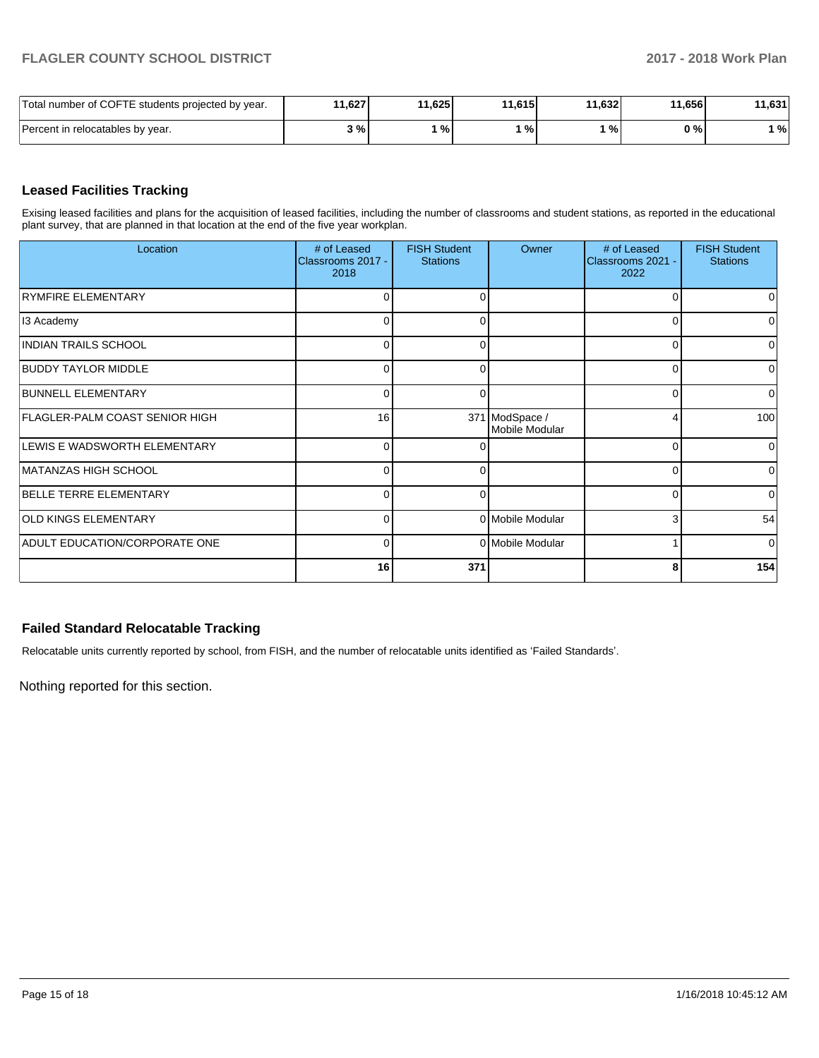| Total number of COFTE students projected by year. | 11,627 | 11,625 | 11,615 | 11.632 | 11,656 | 11,631 |
|---------------------------------------------------|--------|--------|--------|--------|--------|--------|
| Percent in relocatables by year.                  | 3%     | $\%$   | ്%.    | %      | 0 % l  | %      |

## **Leased Facilities Tracking**

Exising leased facilities and plans for the acquisition of leased facilities, including the number of classrooms and student stations, as reported in the educational plant survey, that are planned in that location at the end of the five year workplan.

| Location                              | # of Leased<br>Classrooms 2017 -<br>2018 | <b>FISH Student</b><br><b>Stations</b> | Owner                            | # of Leased<br>Classrooms 2021 -<br>2022 | <b>FISH Student</b><br><b>Stations</b> |
|---------------------------------------|------------------------------------------|----------------------------------------|----------------------------------|------------------------------------------|----------------------------------------|
| <b>RYMFIRE ELEMENTARY</b>             | 0                                        | 0                                      |                                  | 0                                        | 0                                      |
| 13 Academy                            | C                                        | 0                                      |                                  | 0                                        | 0                                      |
| <b>INDIAN TRAILS SCHOOL</b>           | $\Omega$                                 | $\Omega$                               |                                  | $\Omega$                                 | $\Omega$                               |
| <b>BUDDY TAYLOR MIDDLE</b>            | 0                                        | 0                                      |                                  | 0                                        | 0                                      |
| <b>BUNNELL ELEMENTARY</b>             | $\Omega$                                 | $\Omega$                               |                                  | $\Omega$                                 | 0                                      |
| <b>FLAGLER-PALM COAST SENIOR HIGH</b> | 16                                       |                                        | 371 ModSpace /<br>Mobile Modular | 4                                        | 100                                    |
| LEWIS E WADSWORTH ELEMENTARY          | $\Omega$                                 | ∩                                      |                                  | 0                                        | $\Omega$                               |
| MATANZAS HIGH SCHOOL                  | $\Omega$                                 | 0                                      |                                  | 0                                        | 0                                      |
| BELLE TERRE ELEMENTARY                | $\Omega$                                 | ∩                                      |                                  | $\Omega$                                 | 0                                      |
| <b>OLD KINGS ELEMENTARY</b>           | $\Omega$                                 |                                        | 0 Mobile Modular                 | 3                                        | 54                                     |
| ADULT EDUCATION/CORPORATE ONE         | $\Omega$                                 |                                        | 0 Mobile Modular                 |                                          | $\mathbf 0$                            |
|                                       | 16                                       | 371                                    |                                  | 8                                        | 154                                    |

## **Failed Standard Relocatable Tracking**

Relocatable units currently reported by school, from FISH, and the number of relocatable units identified as 'Failed Standards'.

Nothing reported for this section.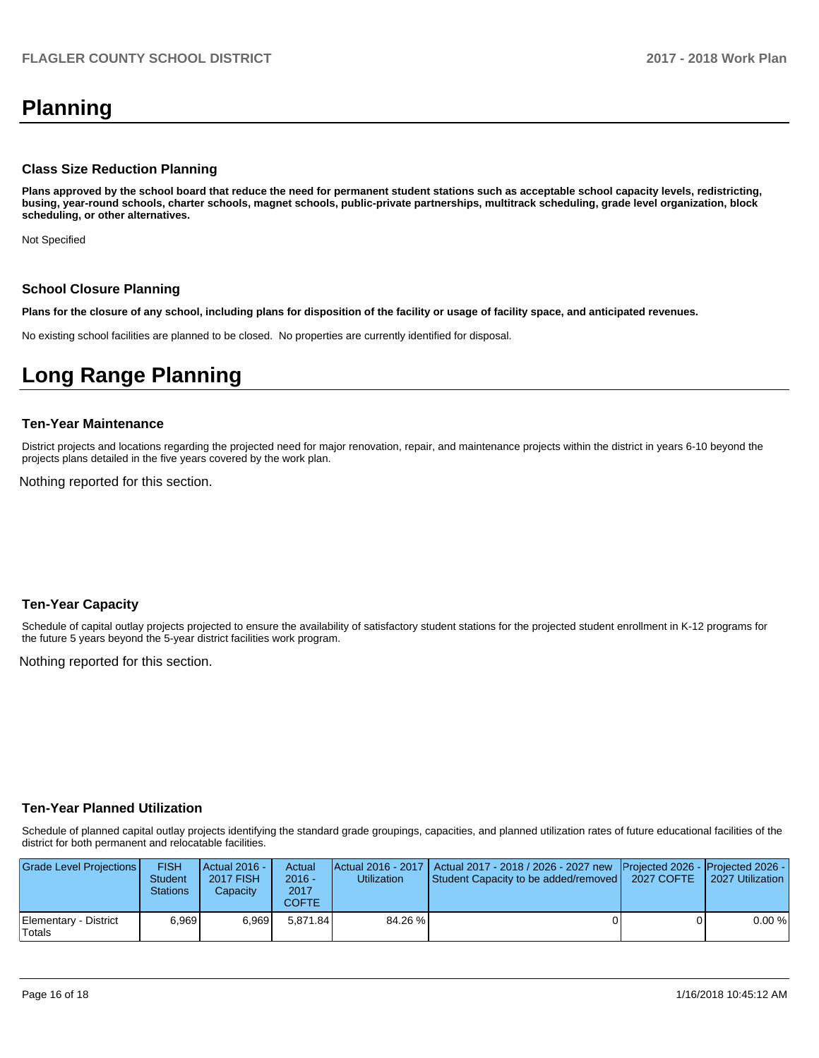# **Planning**

### **Class Size Reduction Planning**

**Plans approved by the school board that reduce the need for permanent student stations such as acceptable school capacity levels, redistricting, busing, year-round schools, charter schools, magnet schools, public-private partnerships, multitrack scheduling, grade level organization, block scheduling, or other alternatives.**

Not Specified

#### **School Closure Planning**

**Plans for the closure of any school, including plans for disposition of the facility or usage of facility space, and anticipated revenues.** 

No existing school facilities are planned to be closed. No properties are currently identified for disposal.

# **Long Range Planning**

#### **Ten-Year Maintenance**

District projects and locations regarding the projected need for major renovation, repair, and maintenance projects within the district in years 6-10 beyond the projects plans detailed in the five years covered by the work plan.

Nothing reported for this section.

### **Ten-Year Capacity**

Schedule of capital outlay projects projected to ensure the availability of satisfactory student stations for the projected student enrollment in K-12 programs for the future 5 years beyond the 5-year district facilities work program.

Nothing reported for this section.

### **Ten-Year Planned Utilization**

Schedule of planned capital outlay projects identifying the standard grade groupings, capacities, and planned utilization rates of future educational facilities of the district for both permanent and relocatable facilities.

| Grade Level Projections         | <b>FISH</b><br><b>Student</b><br><b>Stations</b> | Actual 2016 -<br><b>2017 FISH</b><br>Capacity | Actual<br>$2016 -$<br>2017<br>COFTE | <b>Utilization</b> | Actual 2016 - 2017   Actual 2017 - 2018 / 2026 - 2027 new Projected 2026 - Projected 2026 -<br>Student Capacity to be added/removed   2027 COFTE | 2027 Utilization |
|---------------------------------|--------------------------------------------------|-----------------------------------------------|-------------------------------------|--------------------|--------------------------------------------------------------------------------------------------------------------------------------------------|------------------|
| Elementary - District<br>Totals | 6.969                                            | 6.969                                         | 5.871.84                            | 84.26 %            |                                                                                                                                                  | 0.00%            |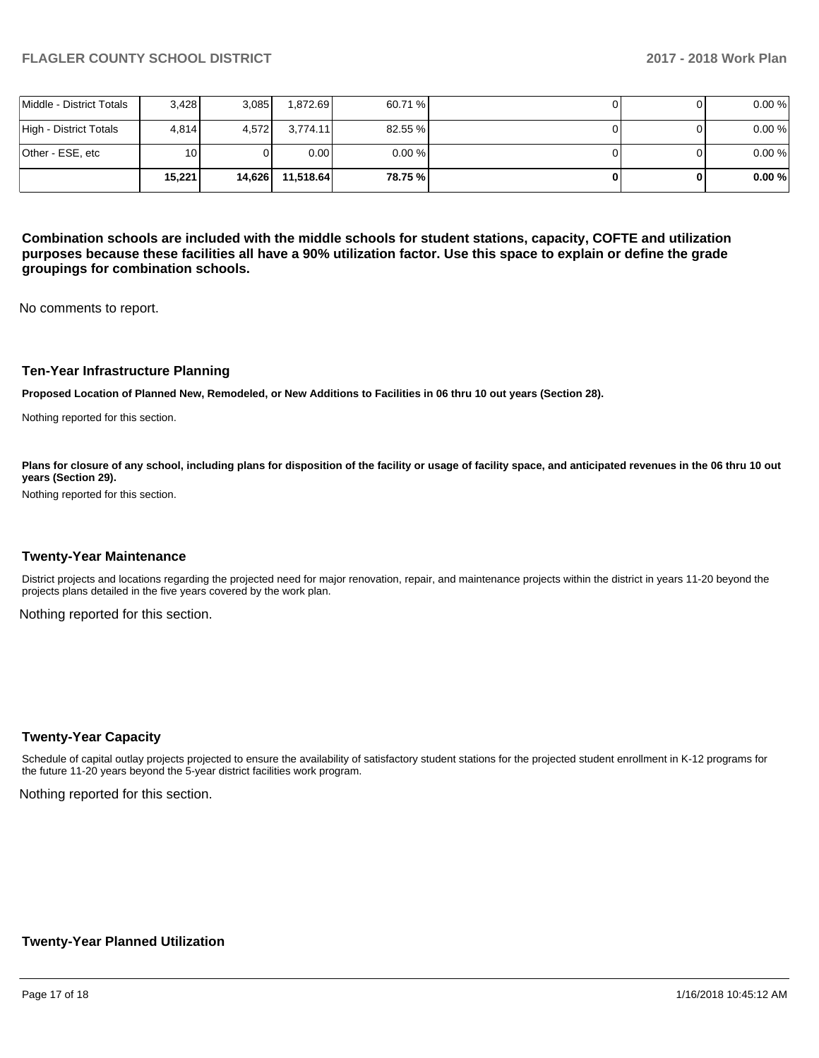|                          | 15.221 | 14.626 | 11.518.64 | 78.75 %   |  | 0.00% |
|--------------------------|--------|--------|-----------|-----------|--|-------|
| Other - ESE, etc         | 10     |        | 0.001     | $0.00 \%$ |  | 0.00% |
| High - District Totals   | 4.814  | 4.572  | 3.774.11  | 82.55 %   |  | 0.00% |
| Middle - District Totals | 3,428  | 3.085  | 1,872.69  | 60.71 %   |  | 0.00% |

**Combination schools are included with the middle schools for student stations, capacity, COFTE and utilization purposes because these facilities all have a 90% utilization factor. Use this space to explain or define the grade groupings for combination schools.** 

No comments to report.

### **Ten-Year Infrastructure Planning**

**Proposed Location of Planned New, Remodeled, or New Additions to Facilities in 06 thru 10 out years (Section 28).**

Nothing reported for this section.

Plans for closure of any school, including plans for disposition of the facility or usage of facility space, and anticipated revenues in the 06 thru 10 out **years (Section 29).**

Nothing reported for this section.

#### **Twenty-Year Maintenance**

District projects and locations regarding the projected need for major renovation, repair, and maintenance projects within the district in years 11-20 beyond the projects plans detailed in the five years covered by the work plan.

Nothing reported for this section.

#### **Twenty-Year Capacity**

Schedule of capital outlay projects projected to ensure the availability of satisfactory student stations for the projected student enrollment in K-12 programs for the future 11-20 years beyond the 5-year district facilities work program.

Nothing reported for this section.

### **Twenty-Year Planned Utilization**